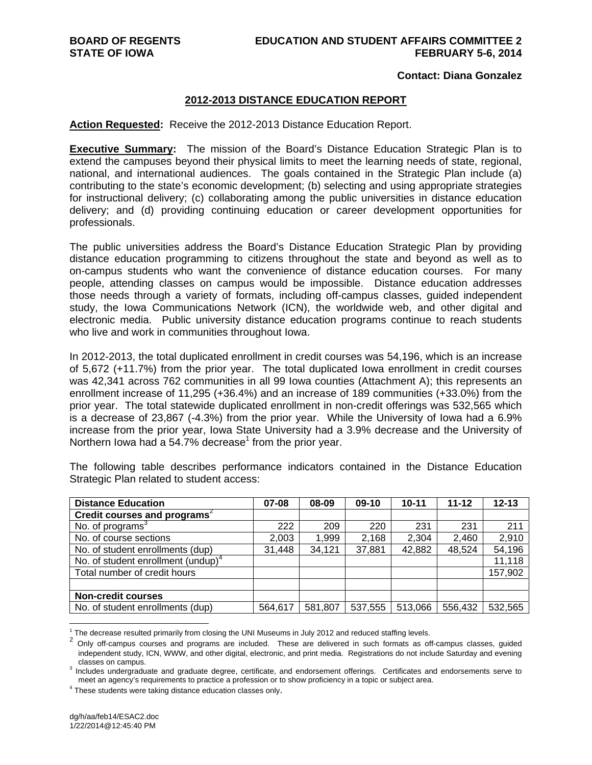#### **Contact: Diana Gonzalez**

### **2012-2013 DISTANCE EDUCATION REPORT**

#### **Action Requested:** Receive the 2012-2013 Distance Education Report.

**Executive Summary:** The mission of the Board's Distance Education Strategic Plan is to extend the campuses beyond their physical limits to meet the learning needs of state, regional, national, and international audiences. The goals contained in the Strategic Plan include (a) contributing to the state's economic development; (b) selecting and using appropriate strategies for instructional delivery; (c) collaborating among the public universities in distance education delivery; and (d) providing continuing education or career development opportunities for professionals.

The public universities address the Board's Distance Education Strategic Plan by providing distance education programming to citizens throughout the state and beyond as well as to on-campus students who want the convenience of distance education courses. For many people, attending classes on campus would be impossible. Distance education addresses those needs through a variety of formats, including off-campus classes, guided independent study, the Iowa Communications Network (ICN), the worldwide web, and other digital and electronic media. Public university distance education programs continue to reach students who live and work in communities throughout Iowa.

In 2012-2013, the total duplicated enrollment in credit courses was 54,196, which is an increase of 5,672 (+11.7%) from the prior year. The total duplicated Iowa enrollment in credit courses was 42,341 across 762 communities in all 99 Iowa counties (Attachment A); this represents an enrollment increase of 11,295 (+36.4%) and an increase of 189 communities (+33.0%) from the prior year. The total statewide duplicated enrollment in non-credit offerings was 532,565 which is a decrease of 23,867 (-4.3%) from the prior year. While the University of Iowa had a 6.9% increase from the prior year, Iowa State University had a 3.9% decrease and the University of Northern lowa had a 54.7% decrease<sup>1</sup> from the prior year.

| <b>Distance Education</b>                      | 07-08   | 08-09   | $09-10$ | $10 - 11$ | $11 - 12$ | $12 - 13$ |
|------------------------------------------------|---------|---------|---------|-----------|-----------|-----------|
| Credit courses and programs                    |         |         |         |           |           |           |
| No. of programs <sup>3</sup>                   | 222     | 209     | 220     | 231       | 231       | 211       |
| No. of course sections                         | 2,003   | 1,999   | 2,168   | 2,304     | 2,460     | 2,910     |
| No. of student enrollments (dup)               | 31,448  | 34,121  | 37,881  | 42,882    | 48,524    | 54,196    |
| No. of student enrollment (undup) <sup>4</sup> |         |         |         |           |           | 11,118    |
| Total number of credit hours                   |         |         |         |           |           | 157,902   |
|                                                |         |         |         |           |           |           |
| <b>Non-credit courses</b>                      |         |         |         |           |           |           |
| No. of student enrollments (dup)               | 564,617 | 581,807 | 537,555 | 513,066   | 556,432   | 532,565   |

The following table describes performance indicators contained in the Distance Education Strategic Plan related to student access:

 $\overline{a}$ 

The decrease resulted primarily from closing the UNI Museums in July 2012 and reduced staffing levels.

The decrease resulted primarily from closing the UNI museums in July 2012 and reduced states are delivered in such formats as off-campus classes, guided independent study, ICN, WWW, and other digital, electronic, and print media. Registrations do not include Saturday and evening classes on campus. 3

<sup>&</sup>lt;sup>3</sup> Includes undergraduate and graduate degree, certificate, and endorsement offerings. Certificates and endorsements serve to meet an agency's requirements to practice a profession or to show proficiency in a topic or subject area. 4

<sup>&</sup>lt;sup>4</sup> These students were taking distance education classes only.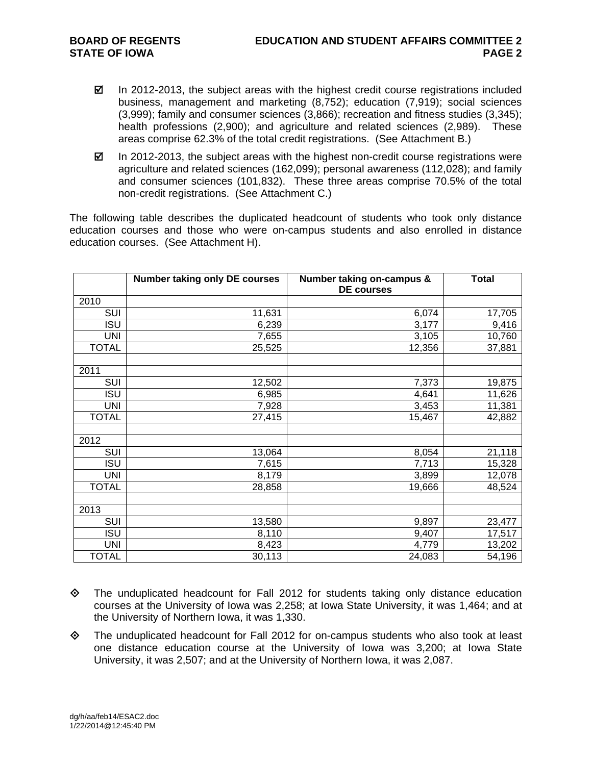- $\boxtimes$  In 2012-2013, the subject areas with the highest credit course registrations included business, management and marketing (8,752); education (7,919); social sciences (3,999); family and consumer sciences (3,866); recreation and fitness studies (3,345); health professions (2,900); and agriculture and related sciences (2,989). These areas comprise 62.3% of the total credit registrations. (See Attachment B.)
- $\boxtimes$  In 2012-2013, the subject areas with the highest non-credit course registrations were agriculture and related sciences (162,099); personal awareness (112,028); and family and consumer sciences (101,832). These three areas comprise 70.5% of the total non-credit registrations. (See Attachment C.)

The following table describes the duplicated headcount of students who took only distance education courses and those who were on-campus students and also enrolled in distance education courses. (See Attachment H).

|              | <b>Number taking only DE courses</b> | Number taking on-campus &<br><b>DE courses</b> | <b>Total</b> |
|--------------|--------------------------------------|------------------------------------------------|--------------|
| 2010         |                                      |                                                |              |
| SUI          | 11,631                               | 6,074                                          | 17,705       |
| <b>ISU</b>   | 6,239                                | 3,177                                          | 9,416        |
| UNI          | 7,655                                | 3,105                                          | 10,760       |
| <b>TOTAL</b> | 25,525                               | 12,356                                         | 37,881       |
| 2011         |                                      |                                                |              |
| SUI          | 12,502                               | 7,373                                          | 19,875       |
| <b>ISU</b>   | 6,985                                | 4,641                                          | 11,626       |
| <b>UNI</b>   | 7,928                                | 3,453                                          | 11,381       |
| <b>TOTAL</b> | 27,415                               | 15,467                                         | 42,882       |
| 2012         |                                      |                                                |              |
| SUI          | 13,064                               | 8,054                                          | 21,118       |
| <b>ISU</b>   | 7,615                                | 7,713                                          | 15,328       |
| <b>UNI</b>   | 8,179                                | 3,899                                          | 12,078       |
| <b>TOTAL</b> | 28,858                               | 19,666                                         | 48,524       |
| 2013         |                                      |                                                |              |
| SUI          | 13,580                               | 9,897                                          | 23,477       |
| <b>ISU</b>   | 8,110                                | 9,407                                          | 17,517       |
| <b>UNI</b>   | 8,423                                | 4,779                                          | 13,202       |
| <b>TOTAL</b> | 30,113                               | 24,083                                         | 54,196       |

- $\Diamond$  The unduplicated headcount for Fall 2012 for students taking only distance education courses at the University of Iowa was 2,258; at Iowa State University, it was 1,464; and at the University of Northern Iowa, it was 1,330.
- $\Leftrightarrow$  The unduplicated headcount for Fall 2012 for on-campus students who also took at least one distance education course at the University of Iowa was 3,200; at Iowa State University, it was 2,507; and at the University of Northern Iowa, it was 2,087.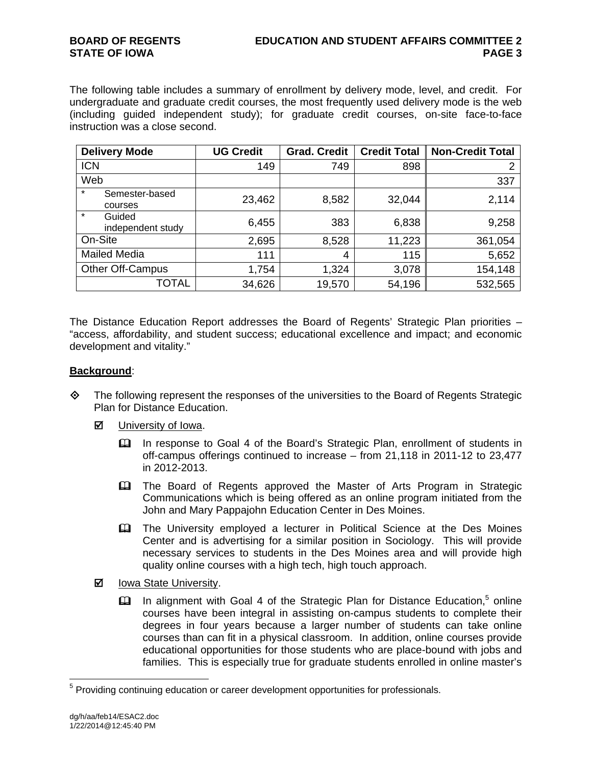The following table includes a summary of enrollment by delivery mode, level, and credit. For undergraduate and graduate credit courses, the most frequently used delivery mode is the web (including guided independent study); for graduate credit courses, on-site face-to-face instruction was a close second.

| <b>Delivery Mode</b>                   | <b>UG Credit</b> | <b>Grad. Credit</b> | <b>Credit Total</b> | <b>Non-Credit Total</b> |
|----------------------------------------|------------------|---------------------|---------------------|-------------------------|
| <b>ICN</b>                             | 149              | 749                 | 898                 | າ                       |
| Web                                    |                  |                     |                     | 337                     |
| $\star$<br>Semester-based<br>courses   | 23,462           | 8,582               | 32,044              | 2,114                   |
| $\star$<br>Guided<br>independent study | 6,455            | 383                 | 6,838               | 9,258                   |
| On-Site                                | 2,695            | 8,528               | 11,223              | 361,054                 |
| <b>Mailed Media</b>                    | 111              | 4                   | 115                 | 5,652                   |
| Other Off-Campus                       | 1,754            | 1,324               | 3,078               | 154,148                 |
| TOTAL                                  | 34,626           | 19,570              | 54,196              | 532,565                 |

The Distance Education Report addresses the Board of Regents' Strategic Plan priorities – "access, affordability, and student success; educational excellence and impact; and economic development and vitality."

## **Background**:

- $\diamond$  The following represent the responses of the universities to the Board of Regents Strategic Plan for Distance Education.
	- **☑** University of Iowa.
		- In response to Goal 4 of the Board's Strategic Plan, enrollment of students in off-campus offerings continued to increase – from 21,118 in 2011-12 to 23,477 in 2012-2013.
		- The Board of Regents approved the Master of Arts Program in Strategic Communications which is being offered as an online program initiated from the John and Mary Pappajohn Education Center in Des Moines.
		- The University employed a lecturer in Political Science at the Des Moines Center and is advertising for a similar position in Sociology. This will provide necessary services to students in the Des Moines area and will provide high quality online courses with a high tech, high touch approach.
	- **Ø** lowa State University.
		- $\Box$  In alignment with Goal 4 of the Strategic Plan for Distance Education,<sup>5</sup> online courses have been integral in assisting on-campus students to complete their degrees in four years because a larger number of students can take online courses than can fit in a physical classroom. In addition, online courses provide educational opportunities for those students who are place-bound with jobs and families. This is especially true for graduate students enrolled in online master's

 $\overline{a}$ 

<sup>&</sup>lt;sup>5</sup> Providing continuing education or career development opportunities for professionals.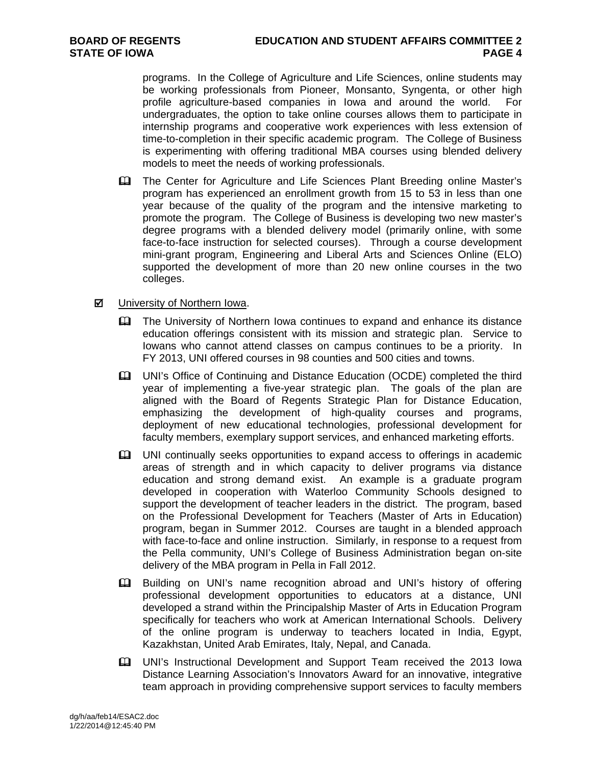programs. In the College of Agriculture and Life Sciences, online students may be working professionals from Pioneer, Monsanto, Syngenta, or other high profile agriculture-based companies in Iowa and around the world. For undergraduates, the option to take online courses allows them to participate in internship programs and cooperative work experiences with less extension of time-to-completion in their specific academic program. The College of Business is experimenting with offering traditional MBA courses using blended delivery models to meet the needs of working professionals.

 The Center for Agriculture and Life Sciences Plant Breeding online Master's program has experienced an enrollment growth from 15 to 53 in less than one year because of the quality of the program and the intensive marketing to promote the program. The College of Business is developing two new master's degree programs with a blended delivery model (primarily online, with some face-to-face instruction for selected courses). Through a course development mini-grant program, Engineering and Liberal Arts and Sciences Online (ELO) supported the development of more than 20 new online courses in the two colleges.

# ■ University of Northern Iowa.

- **The University of Northern Iowa continues to expand and enhance its distance** education offerings consistent with its mission and strategic plan. Service to Iowans who cannot attend classes on campus continues to be a priority. In FY 2013, UNI offered courses in 98 counties and 500 cities and towns.
- UNI's Office of Continuing and Distance Education (OCDE) completed the third year of implementing a five-year strategic plan. The goals of the plan are aligned with the Board of Regents Strategic Plan for Distance Education, emphasizing the development of high-quality courses and programs, deployment of new educational technologies, professional development for faculty members, exemplary support services, and enhanced marketing efforts.
- UNI continually seeks opportunities to expand access to offerings in academic areas of strength and in which capacity to deliver programs via distance education and strong demand exist. An example is a graduate program developed in cooperation with Waterloo Community Schools designed to support the development of teacher leaders in the district. The program, based on the Professional Development for Teachers (Master of Arts in Education) program, began in Summer 2012. Courses are taught in a blended approach with face-to-face and online instruction. Similarly, in response to a request from the Pella community, UNI's College of Business Administration began on-site delivery of the MBA program in Pella in Fall 2012.
- Building on UNI's name recognition abroad and UNI's history of offering professional development opportunities to educators at a distance, UNI developed a strand within the Principalship Master of Arts in Education Program specifically for teachers who work at American International Schools. Delivery of the online program is underway to teachers located in India, Egypt, Kazakhstan, United Arab Emirates, Italy, Nepal, and Canada.
- UNI's Instructional Development and Support Team received the 2013 Iowa Distance Learning Association's Innovators Award for an innovative, integrative team approach in providing comprehensive support services to faculty members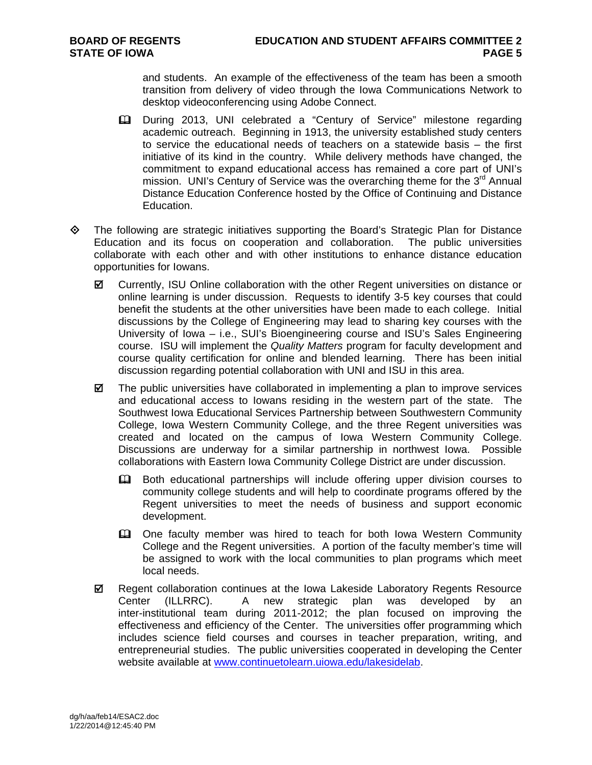and students. An example of the effectiveness of the team has been a smooth transition from delivery of video through the Iowa Communications Network to desktop videoconferencing using Adobe Connect.

- During 2013, UNI celebrated a "Century of Service" milestone regarding academic outreach. Beginning in 1913, the university established study centers to service the educational needs of teachers on a statewide basis – the first initiative of its kind in the country. While delivery methods have changed, the commitment to expand educational access has remained a core part of UNI's mission. UNI's Century of Service was the overarching theme for the  $3<sup>rd</sup>$  Annual Distance Education Conference hosted by the Office of Continuing and Distance Education.
- $\Leftrightarrow$  The following are strategic initiatives supporting the Board's Strategic Plan for Distance Education and its focus on cooperation and collaboration. The public universities collaborate with each other and with other institutions to enhance distance education opportunities for Iowans.
	- Currently, ISU Online collaboration with the other Regent universities on distance or online learning is under discussion. Requests to identify 3-5 key courses that could benefit the students at the other universities have been made to each college. Initial discussions by the College of Engineering may lead to sharing key courses with the University of Iowa – i.e., SUI's Bioengineering course and ISU's Sales Engineering course. ISU will implement the *Quality Matters* program for faculty development and course quality certification for online and blended learning. There has been initial discussion regarding potential collaboration with UNI and ISU in this area.
	- $\boxtimes$  The public universities have collaborated in implementing a plan to improve services and educational access to Iowans residing in the western part of the state. The Southwest Iowa Educational Services Partnership between Southwestern Community College, Iowa Western Community College, and the three Regent universities was created and located on the campus of Iowa Western Community College. Discussions are underway for a similar partnership in northwest Iowa. Possible collaborations with Eastern Iowa Community College District are under discussion.
		- Both educational partnerships will include offering upper division courses to community college students and will help to coordinate programs offered by the Regent universities to meet the needs of business and support economic development.
		- One faculty member was hired to teach for both Iowa Western Community College and the Regent universities. A portion of the faculty member's time will be assigned to work with the local communities to plan programs which meet local needs.
	- $✓$  Regent collaboration continues at the Iowa Lakeside Laboratory Regents Resource Center (ILLRRC). A new strategic plan was developed by an inter-institutional team during 2011-2012; the plan focused on improving the effectiveness and efficiency of the Center. The universities offer programming which includes science field courses and courses in teacher preparation, writing, and entrepreneurial studies. The public universities cooperated in developing the Center website available at www.continuetolearn.uiowa.edu/lakesidelab.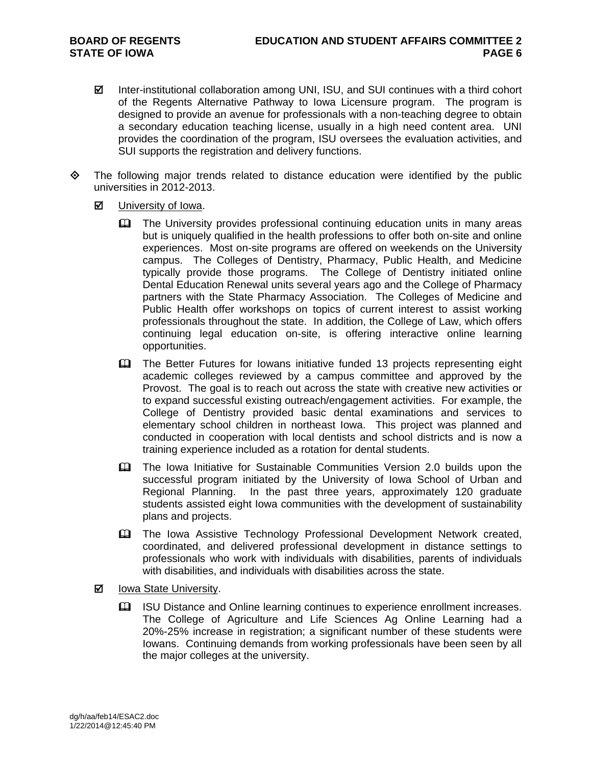- Inter-institutional collaboration among UNI, ISU, and SUI continues with a third cohort of the Regents Alternative Pathway to Iowa Licensure program. The program is designed to provide an avenue for professionals with a non-teaching degree to obtain a secondary education teaching license, usually in a high need content area. UNI provides the coordination of the program, ISU oversees the evaluation activities, and SUI supports the registration and delivery functions.
- $\diamond$  The following major trends related to distance education were identified by the public universities in 2012-2013.
	- **☑** University of Iowa.
		- **Example 20** The University provides professional continuing education units in many areas but is uniquely qualified in the health professions to offer both on-site and online experiences. Most on-site programs are offered on weekends on the University campus. The Colleges of Dentistry, Pharmacy, Public Health, and Medicine typically provide those programs. The College of Dentistry initiated online Dental Education Renewal units several years ago and the College of Pharmacy partners with the State Pharmacy Association. The Colleges of Medicine and Public Health offer workshops on topics of current interest to assist working professionals throughout the state. In addition, the College of Law, which offers continuing legal education on-site, is offering interactive online learning opportunities.
		- The Better Futures for Iowans initiative funded 13 projects representing eight academic colleges reviewed by a campus committee and approved by the Provost. The goal is to reach out across the state with creative new activities or to expand successful existing outreach/engagement activities. For example, the College of Dentistry provided basic dental examinations and services to elementary school children in northeast Iowa. This project was planned and conducted in cooperation with local dentists and school districts and is now a training experience included as a rotation for dental students.
		- The Iowa Initiative for Sustainable Communities Version 2.0 builds upon the successful program initiated by the University of Iowa School of Urban and Regional Planning. In the past three years, approximately 120 graduate students assisted eight Iowa communities with the development of sustainability plans and projects.
		- The Iowa Assistive Technology Professional Development Network created, coordinated, and delivered professional development in distance settings to professionals who work with individuals with disabilities, parents of individuals with disabilities, and individuals with disabilities across the state.
	- **Ø** lowa State University.
		- ISU Distance and Online learning continues to experience enrollment increases. The College of Agriculture and Life Sciences Ag Online Learning had a 20%-25% increase in registration; a significant number of these students were Iowans. Continuing demands from working professionals have been seen by all the major colleges at the university.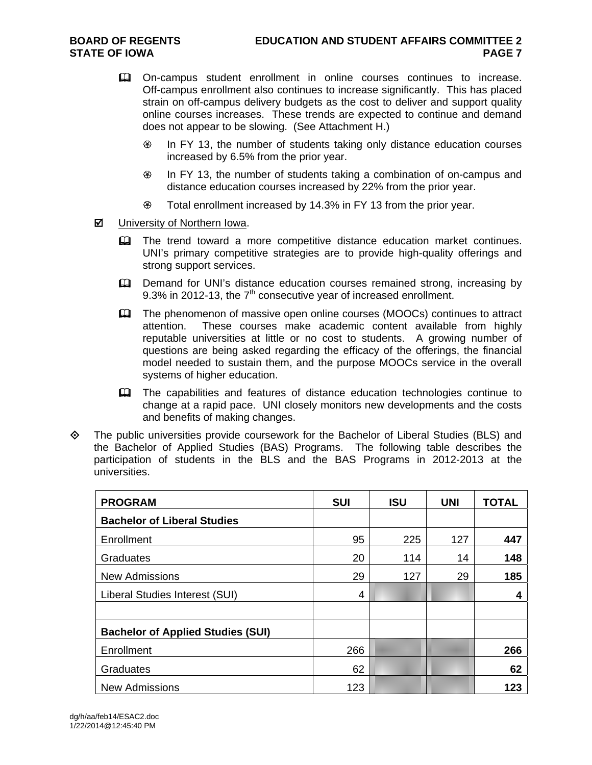- On-campus student enrollment in online courses continues to increase. Off-campus enrollment also continues to increase significantly. This has placed strain on off-campus delivery budgets as the cost to deliver and support quality online courses increases. These trends are expected to continue and demand does not appear to be slowing. (See Attachment H.)
	- <sup>

■</sup> In FY 13, the number of students taking only distance education courses increased by 6.5% from the prior year.
	- In FY 13, the number of students taking a combination of on-campus and distance education courses increased by 22% from the prior year.
	- Total enrollment increased by 14.3% in FY 13 from the prior year.
- University of Northern Iowa.
	- **EQ The trend toward a more competitive distance education market continues.** UNI's primary competitive strategies are to provide high-quality offerings and strong support services.
	- Demand for UNI's distance education courses remained strong, increasing by 9.3% in 2012-13, the  $7<sup>th</sup>$  consecutive year of increased enrollment.
	- The phenomenon of massive open online courses (MOOCs) continues to attract attention. These courses make academic content available from highly reputable universities at little or no cost to students. A growing number of questions are being asked regarding the efficacy of the offerings, the financial model needed to sustain them, and the purpose MOOCs service in the overall systems of higher education.
	- **EQ The capabilities and features of distance education technologies continue to** change at a rapid pace. UNI closely monitors new developments and the costs and benefits of making changes.
- $\Diamond$  The public universities provide coursework for the Bachelor of Liberal Studies (BLS) and the Bachelor of Applied Studies (BAS) Programs. The following table describes the participation of students in the BLS and the BAS Programs in 2012-2013 at the universities.

| <b>PROGRAM</b>                           | <b>SUI</b> | <b>ISU</b> | <b>UNI</b> | <b>TOTAL</b> |
|------------------------------------------|------------|------------|------------|--------------|
| <b>Bachelor of Liberal Studies</b>       |            |            |            |              |
| Enrollment                               | 95         | 225        | 127        | 447          |
| Graduates                                | 20         | 114        | 14         | 148          |
| <b>New Admissions</b>                    | 29         | 127        | 29         | 185          |
| Liberal Studies Interest (SUI)           | 4          |            |            | 4            |
|                                          |            |            |            |              |
| <b>Bachelor of Applied Studies (SUI)</b> |            |            |            |              |
| Enrollment                               | 266        |            |            | 266          |
| Graduates                                | 62         |            |            | 62           |
| <b>New Admissions</b>                    | 123        |            |            | 123          |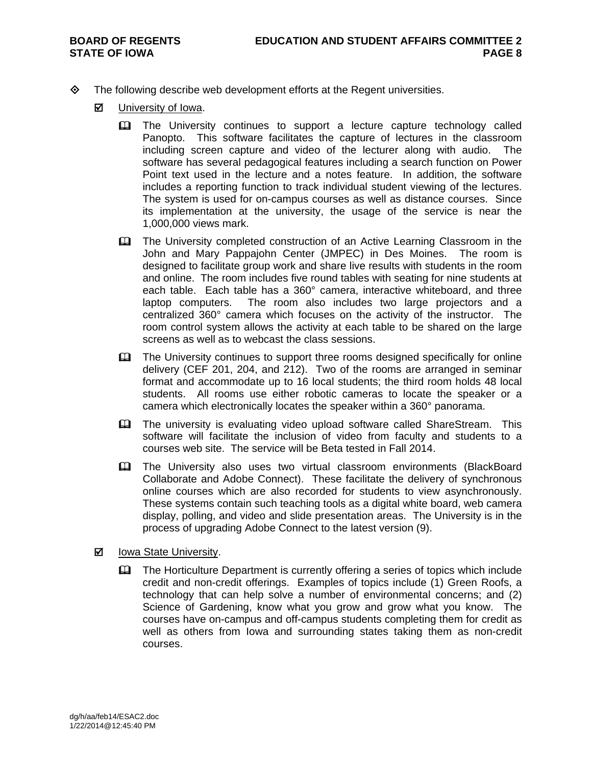- $\diamond$  The following describe web development efforts at the Regent universities.
	- **M** University of Iowa.
		- **Example 2** The University continues to support a lecture capture technology called Panopto. This software facilitates the capture of lectures in the classroom including screen capture and video of the lecturer along with audio. The software has several pedagogical features including a search function on Power Point text used in the lecture and a notes feature. In addition, the software includes a reporting function to track individual student viewing of the lectures. The system is used for on-campus courses as well as distance courses. Since its implementation at the university, the usage of the service is near the 1,000,000 views mark.
		- The University completed construction of an Active Learning Classroom in the John and Mary Pappajohn Center (JMPEC) in Des Moines. The room is designed to facilitate group work and share live results with students in the room and online. The room includes five round tables with seating for nine students at each table. Each table has a 360° camera, interactive whiteboard, and three laptop computers. The room also includes two large projectors and a centralized 360° camera which focuses on the activity of the instructor. The room control system allows the activity at each table to be shared on the large screens as well as to webcast the class sessions.
		- The University continues to support three rooms designed specifically for online delivery (CEF 201, 204, and 212). Two of the rooms are arranged in seminar format and accommodate up to 16 local students; the third room holds 48 local students. All rooms use either robotic cameras to locate the speaker or a camera which electronically locates the speaker within a 360° panorama.
		- **Example 2** The university is evaluating video upload software called ShareStream. This software will facilitate the inclusion of video from faculty and students to a courses web site. The service will be Beta tested in Fall 2014.
		- The University also uses two virtual classroom environments (BlackBoard Collaborate and Adobe Connect). These facilitate the delivery of synchronous online courses which are also recorded for students to view asynchronously. These systems contain such teaching tools as a digital white board, web camera display, polling, and video and slide presentation areas. The University is in the process of upgrading Adobe Connect to the latest version (9).
	- $\boxtimes$  Iowa State University.
		- The Horticulture Department is currently offering a series of topics which include credit and non-credit offerings. Examples of topics include (1) Green Roofs, a technology that can help solve a number of environmental concerns; and (2) Science of Gardening, know what you grow and grow what you know. The courses have on-campus and off-campus students completing them for credit as well as others from Iowa and surrounding states taking them as non-credit courses.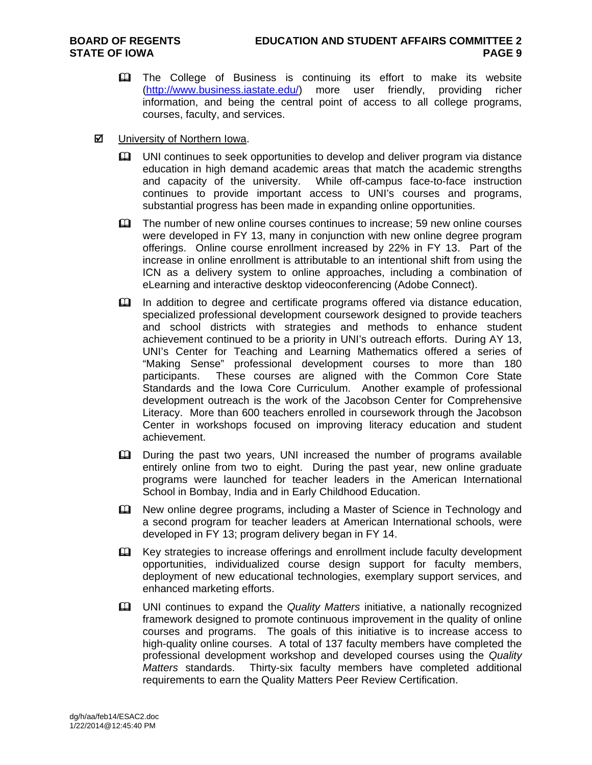- **Example 2** The College of Business is continuing its effort to make its website (http://www.business.iastate.edu/) more user friendly, providing richer information, and being the central point of access to all college programs, courses, faculty, and services.
- $\boxtimes$  University of Northern Iowa.
	- UNI continues to seek opportunities to develop and deliver program via distance education in high demand academic areas that match the academic strengths and capacity of the university. While off-campus face-to-face instruction continues to provide important access to UNI's courses and programs, substantial progress has been made in expanding online opportunities.
	- **Example 1** The number of new online courses continues to increase; 59 new online courses were developed in FY 13, many in conjunction with new online degree program offerings. Online course enrollment increased by 22% in FY 13. Part of the increase in online enrollment is attributable to an intentional shift from using the ICN as a delivery system to online approaches, including a combination of eLearning and interactive desktop videoconferencing (Adobe Connect).
	- In addition to degree and certificate programs offered via distance education, specialized professional development coursework designed to provide teachers and school districts with strategies and methods to enhance student achievement continued to be a priority in UNI's outreach efforts. During AY 13, UNI's Center for Teaching and Learning Mathematics offered a series of "Making Sense" professional development courses to more than 180 participants. These courses are aligned with the Common Core State Standards and the Iowa Core Curriculum. Another example of professional development outreach is the work of the Jacobson Center for Comprehensive Literacy. More than 600 teachers enrolled in coursework through the Jacobson Center in workshops focused on improving literacy education and student achievement.
	- During the past two years, UNI increased the number of programs available entirely online from two to eight. During the past year, new online graduate programs were launched for teacher leaders in the American International School in Bombay, India and in Early Childhood Education.
	- New online degree programs, including a Master of Science in Technology and a second program for teacher leaders at American International schools, were developed in FY 13; program delivery began in FY 14.
	- E Key strategies to increase offerings and enrollment include faculty development opportunities, individualized course design support for faculty members, deployment of new educational technologies, exemplary support services, and enhanced marketing efforts.
	- UNI continues to expand the *Quality Matters* initiative, a nationally recognized framework designed to promote continuous improvement in the quality of online courses and programs. The goals of this initiative is to increase access to high-quality online courses. A total of 137 faculty members have completed the professional development workshop and developed courses using the *Quality Matters* standards. Thirty-six faculty members have completed additional requirements to earn the Quality Matters Peer Review Certification.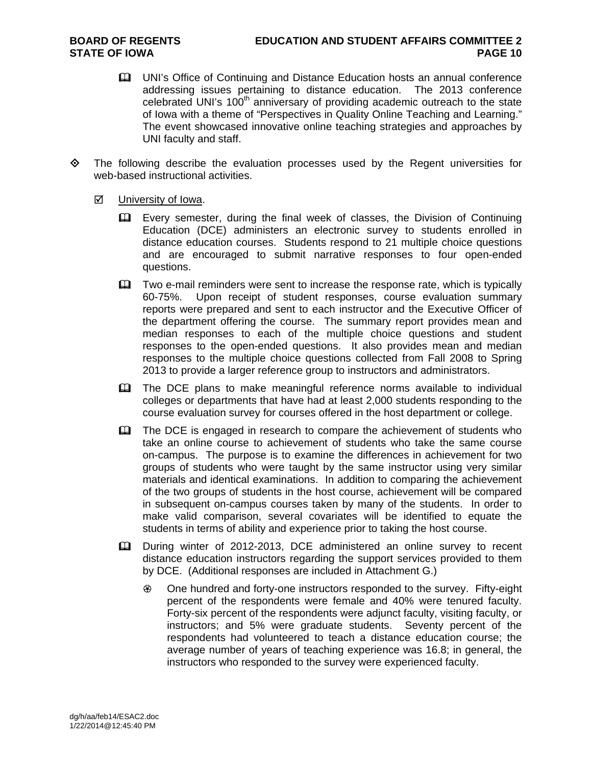- UNI's Office of Continuing and Distance Education hosts an annual conference addressing issues pertaining to distance education. The 2013 conference  $c$ elebrated UNI's 100<sup>th</sup> anniversary of providing academic outreach to the state of Iowa with a theme of "Perspectives in Quality Online Teaching and Learning." The event showcased innovative online teaching strategies and approaches by UNI faculty and staff.
- $\Leftrightarrow$  The following describe the evaluation processes used by the Regent universities for web-based instructional activities.
	- **☑** University of Iowa.
		- Every semester, during the final week of classes, the Division of Continuing Education (DCE) administers an electronic survey to students enrolled in distance education courses. Students respond to 21 multiple choice questions and are encouraged to submit narrative responses to four open-ended questions.
		- Two e-mail reminders were sent to increase the response rate, which is typically 60-75%. Upon receipt of student responses, course evaluation summary reports were prepared and sent to each instructor and the Executive Officer of the department offering the course. The summary report provides mean and median responses to each of the multiple choice questions and student responses to the open-ended questions. It also provides mean and median responses to the multiple choice questions collected from Fall 2008 to Spring 2013 to provide a larger reference group to instructors and administrators.
		- **EQ The DCE plans to make meaningful reference norms available to individual** colleges or departments that have had at least 2,000 students responding to the course evaluation survey for courses offered in the host department or college.
		- **Example 1** The DCE is engaged in research to compare the achievement of students who take an online course to achievement of students who take the same course on-campus. The purpose is to examine the differences in achievement for two groups of students who were taught by the same instructor using very similar materials and identical examinations. In addition to comparing the achievement of the two groups of students in the host course, achievement will be compared in subsequent on-campus courses taken by many of the students. In order to make valid comparison, several covariates will be identified to equate the students in terms of ability and experience prior to taking the host course.
		- During winter of 2012-2013, DCE administered an online survey to recent distance education instructors regarding the support services provided to them by DCE. (Additional responses are included in Attachment G.)
			- One hundred and forty-one instructors responded to the survey. Fifty-eight percent of the respondents were female and 40% were tenured faculty. Forty-six percent of the respondents were adjunct faculty, visiting faculty, or instructors; and 5% were graduate students. Seventy percent of the respondents had volunteered to teach a distance education course; the average number of years of teaching experience was 16.8; in general, the instructors who responded to the survey were experienced faculty.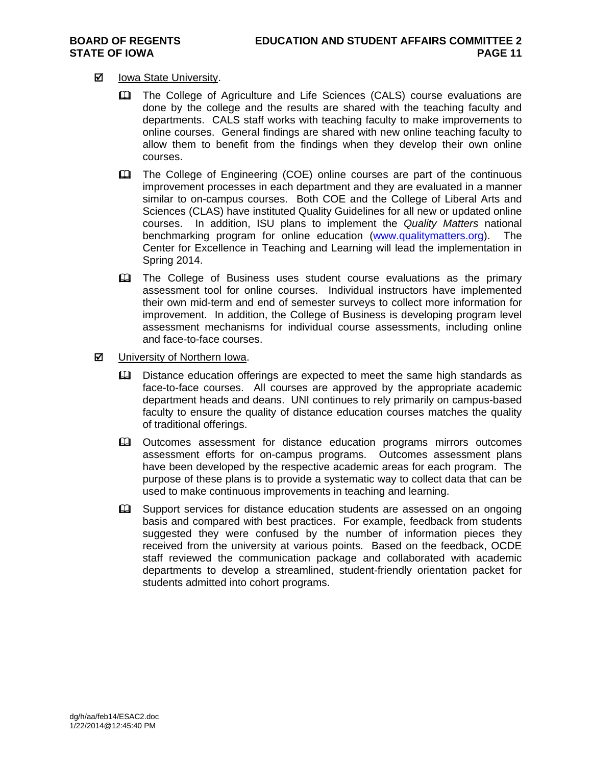# **Ø** lowa State University.

- The College of Agriculture and Life Sciences (CALS) course evaluations are done by the college and the results are shared with the teaching faculty and departments. CALS staff works with teaching faculty to make improvements to online courses. General findings are shared with new online teaching faculty to allow them to benefit from the findings when they develop their own online courses.
- **EQ The College of Engineering (COE) online courses are part of the continuous** improvement processes in each department and they are evaluated in a manner similar to on-campus courses. Both COE and the College of Liberal Arts and Sciences (CLAS) have instituted Quality Guidelines for all new or updated online courses. In addition, ISU plans to implement the *Quality Matters* national benchmarking program for online education (www.qualitymatters.org). The Center for Excellence in Teaching and Learning will lead the implementation in Spring 2014.
- **EQ The College of Business uses student course evaluations as the primary** assessment tool for online courses. Individual instructors have implemented their own mid-term and end of semester surveys to collect more information for improvement. In addition, the College of Business is developing program level assessment mechanisms for individual course assessments, including online and face-to-face courses.
- **Ø** University of Northern Iowa.
	- **Q.** Distance education offerings are expected to meet the same high standards as face-to-face courses. All courses are approved by the appropriate academic department heads and deans. UNI continues to rely primarily on campus-based faculty to ensure the quality of distance education courses matches the quality of traditional offerings.
	- Outcomes assessment for distance education programs mirrors outcomes assessment efforts for on-campus programs. Outcomes assessment plans have been developed by the respective academic areas for each program. The purpose of these plans is to provide a systematic way to collect data that can be used to make continuous improvements in teaching and learning.
	- **Example 1** Support services for distance education students are assessed on an ongoing basis and compared with best practices. For example, feedback from students suggested they were confused by the number of information pieces they received from the university at various points. Based on the feedback, OCDE staff reviewed the communication package and collaborated with academic departments to develop a streamlined, student-friendly orientation packet for students admitted into cohort programs.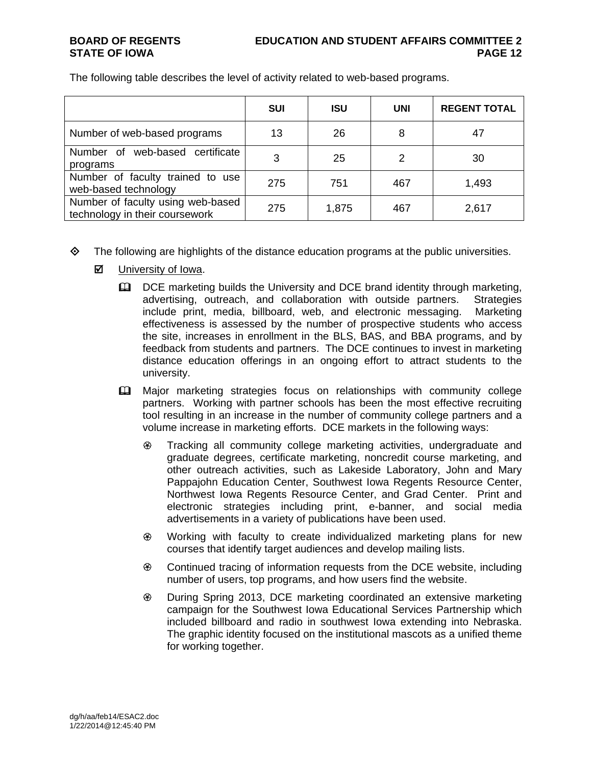|                                                                     | <b>SUI</b> | <b>ISU</b> | <b>UNI</b> | <b>REGENT TOTAL</b> |
|---------------------------------------------------------------------|------------|------------|------------|---------------------|
| Number of web-based programs                                        | 13         | 26         | 8          | 47                  |
| web-based certificate<br>of<br>Number<br>programs                   | 3          | 25         | 2          | 30                  |
| Number of faculty trained to use<br>web-based technology            | 275        | 751        | 467        | 1,493               |
| Number of faculty using web-based<br>technology in their coursework | 275        | 1,875      | 467        | 2,617               |

- $\Diamond$  The following are highlights of the distance education programs at the public universities.
	- **☑** University of Iowa.
		- $\Box$  DCE marketing builds the University and DCE brand identity through marketing, advertising, outreach, and collaboration with outside partners. Strategies include print, media, billboard, web, and electronic messaging. Marketing effectiveness is assessed by the number of prospective students who access the site, increases in enrollment in the BLS, BAS, and BBA programs, and by feedback from students and partners. The DCE continues to invest in marketing distance education offerings in an ongoing effort to attract students to the university.
		- **EQ** Major marketing strategies focus on relationships with community college partners. Working with partner schools has been the most effective recruiting tool resulting in an increase in the number of community college partners and a volume increase in marketing efforts. DCE markets in the following ways:
			- Tracking all community college marketing activities, undergraduate and graduate degrees, certificate marketing, noncredit course marketing, and other outreach activities, such as Lakeside Laboratory, John and Mary Pappajohn Education Center, Southwest Iowa Regents Resource Center, Northwest Iowa Regents Resource Center, and Grad Center. Print and electronic strategies including print, e-banner, and social media advertisements in a variety of publications have been used.
			- Working with faculty to create individualized marketing plans for new courses that identify target audiences and develop mailing lists.
			- Continued tracing of information requests from the DCE website, including number of users, top programs, and how users find the website.
			- During Spring 2013, DCE marketing coordinated an extensive marketing campaign for the Southwest Iowa Educational Services Partnership which included billboard and radio in southwest Iowa extending into Nebraska. The graphic identity focused on the institutional mascots as a unified theme for working together.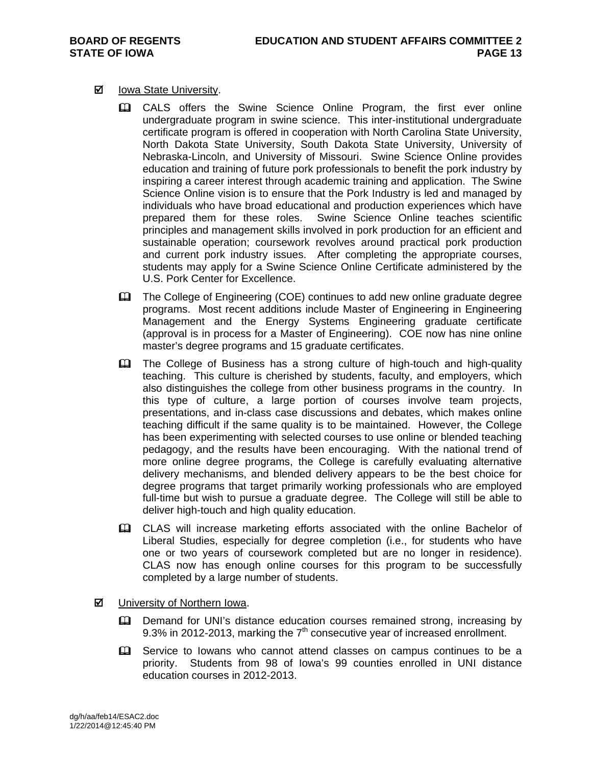## **Ø** lowa State University.

- CALS offers the Swine Science Online Program, the first ever online undergraduate program in swine science. This inter-institutional undergraduate certificate program is offered in cooperation with North Carolina State University, North Dakota State University, South Dakota State University, University of Nebraska-Lincoln, and University of Missouri. Swine Science Online provides education and training of future pork professionals to benefit the pork industry by inspiring a career interest through academic training and application. The Swine Science Online vision is to ensure that the Pork Industry is led and managed by individuals who have broad educational and production experiences which have prepared them for these roles. Swine Science Online teaches scientific principles and management skills involved in pork production for an efficient and sustainable operation; coursework revolves around practical pork production and current pork industry issues. After completing the appropriate courses, students may apply for a Swine Science Online Certificate administered by the U.S. Pork Center for Excellence.
- The College of Engineering (COE) continues to add new online graduate degree programs. Most recent additions include Master of Engineering in Engineering Management and the Energy Systems Engineering graduate certificate (approval is in process for a Master of Engineering). COE now has nine online master's degree programs and 15 graduate certificates.
- The College of Business has a strong culture of high-touch and high-quality teaching. This culture is cherished by students, faculty, and employers, which also distinguishes the college from other business programs in the country. In this type of culture, a large portion of courses involve team projects, presentations, and in-class case discussions and debates, which makes online teaching difficult if the same quality is to be maintained. However, the College has been experimenting with selected courses to use online or blended teaching pedagogy, and the results have been encouraging. With the national trend of more online degree programs, the College is carefully evaluating alternative delivery mechanisms, and blended delivery appears to be the best choice for degree programs that target primarily working professionals who are employed full-time but wish to pursue a graduate degree. The College will still be able to deliver high-touch and high quality education.
- CLAS will increase marketing efforts associated with the online Bachelor of Liberal Studies, especially for degree completion (i.e., for students who have one or two years of coursework completed but are no longer in residence). CLAS now has enough online courses for this program to be successfully completed by a large number of students.
- **Ø** University of Northern Iowa.
	- **Q Demand for UNI's distance education courses remained strong, increasing by** 9.3% in 2012-2013, marking the  $7<sup>th</sup>$  consecutive year of increased enrollment.
	- **Example 3** Service to Iowans who cannot attend classes on campus continues to be a priority. Students from 98 of Iowa's 99 counties enrolled in UNI distance education courses in 2012-2013.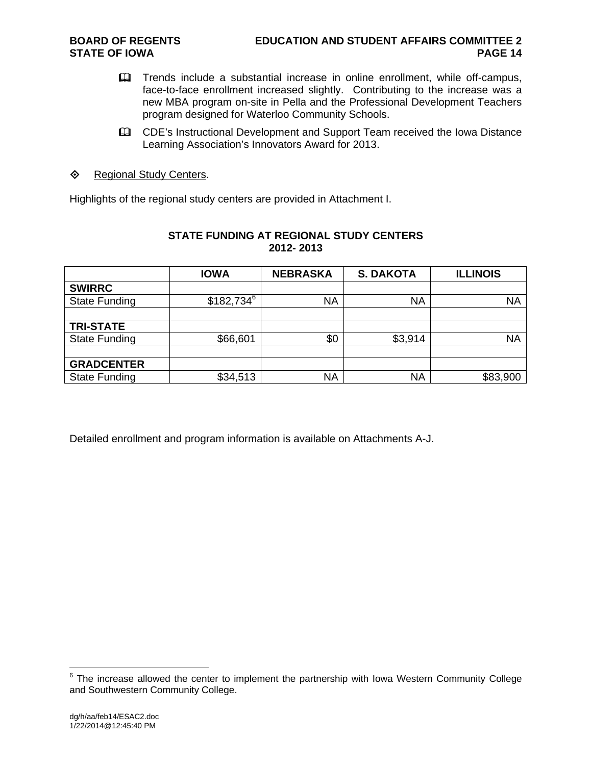- **Example 2** Trends include a substantial increase in online enrollment, while off-campus, face-to-face enrollment increased slightly. Contributing to the increase was a new MBA program on-site in Pella and the Professional Development Teachers program designed for Waterloo Community Schools.
- CDE's Instructional Development and Support Team received the Iowa Distance Learning Association's Innovators Award for 2013.
- ♦ Regional Study Centers.

Highlights of the regional study centers are provided in Attachment I.

| 2012-2013            |              |                 |                  |                 |  |  |  |  |
|----------------------|--------------|-----------------|------------------|-----------------|--|--|--|--|
|                      | <b>IOWA</b>  | <b>NEBRASKA</b> | <b>S. DAKOTA</b> | <b>ILLINOIS</b> |  |  |  |  |
| <b>SWIRRC</b>        |              |                 |                  |                 |  |  |  |  |
| <b>State Funding</b> | $$182,734^6$ | <b>NA</b>       | <b>NA</b>        | <b>NA</b>       |  |  |  |  |
| <b>TRI-STATE</b>     |              |                 |                  |                 |  |  |  |  |
| <b>State Funding</b> | \$66,601     | \$0             | \$3,914          | <b>NA</b>       |  |  |  |  |
| <b>GRADCENTER</b>    |              |                 |                  |                 |  |  |  |  |
| <b>State Funding</b> | \$34,513     | <b>NA</b>       | <b>NA</b>        | \$83,900        |  |  |  |  |

# **STATE FUNDING AT REGIONAL STUDY CENTERS**

Detailed enrollment and program information is available on Attachments A-J.

 6 The increase allowed the center to implement the partnership with Iowa Western Community College and Southwestern Community College.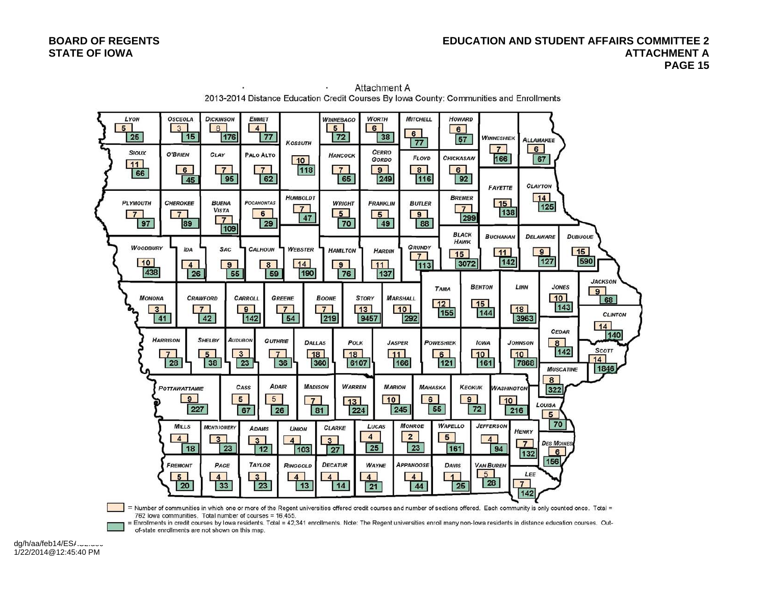#### **BOARD OF REGENTS EDUCATION AND STUDENT AFFAIRS COMMITTEE 2 STATE OF IOWA ATTACHMENT A**  $\blacksquare$  **PAGE 15**



Attachment A 2013-2014 Distance Education Credit Courses By Iowa County: Communities and Enrollments

= Number of communities in which one or more of the Regent universities offered credit courses and number of sections offered. Each community is only counted once. Total = 762 lowa communities. Total number of courses = 16,455.

Enrollments in credit courses by lowa residents. Total = 42,341 enrollments. Note: The Regent universities enroll many non-lowa residents in distance education courses. Outof-state enrollments are not shown on this map.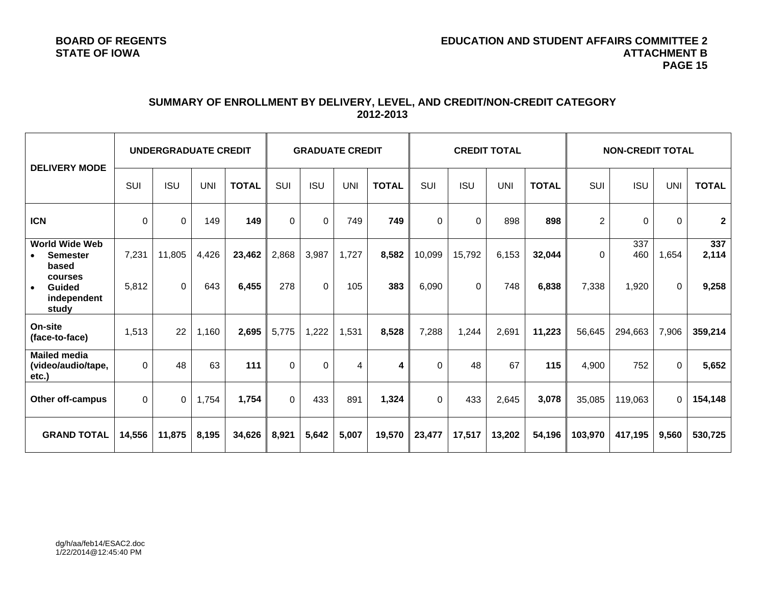# **SUMMARY OF ENROLLMENT BY DELIVERY, LEVEL, AND CREDIT/NON-CREDIT CATEGORY 2012-2013**

| <b>DELIVERY MODE</b>                                           | UNDERGRADUATE CREDIT |                |            | <b>GRADUATE CREDIT</b> |          |             | <b>CREDIT TOTAL</b> |              |            | <b>NON-CREDIT TOTAL</b> |            |              |                |            |            |              |
|----------------------------------------------------------------|----------------------|----------------|------------|------------------------|----------|-------------|---------------------|--------------|------------|-------------------------|------------|--------------|----------------|------------|------------|--------------|
|                                                                | <b>SUI</b>           | <b>ISU</b>     | <b>UNI</b> | <b>TOTAL</b>           | SUI      | <b>ISU</b>  | <b>UNI</b>          | <b>TOTAL</b> | <b>SUI</b> | <b>ISU</b>              | <b>UNI</b> | <b>TOTAL</b> | SUI            | <b>ISU</b> | <b>UNI</b> | <b>TOTAL</b> |
| <b>ICN</b>                                                     | $\Omega$             | $\overline{0}$ | 149        | 149                    | $\Omega$ | $\mathbf 0$ | 749                 | 749          | $\Omega$   | $\Omega$                | 898        | 898          | $\overline{2}$ | $\Omega$   | $\Omega$   | $\mathbf{2}$ |
| <b>World Wide Web</b><br><b>Semester</b><br>$\bullet$<br>based | 7,231                | 11,805         | 4,426      | 23,462                 | 2,868    | 3,987       | 1,727               | 8,582        | 10,099     | 15,792                  | 6,153      | 32,044       | $\Omega$       | 337<br>460 | 1,654      | 337<br>2,114 |
| courses<br>Guided<br>$\bullet$<br>independent<br>study         | 5,812                | $\Omega$       | 643        | 6,455                  | 278      | $\Omega$    | 105                 | 383          | 6,090      | 0                       | 748        | 6,838        | 7,338          | 1,920      | $\Omega$   | 9,258        |
| On-site<br>(face-to-face)                                      | 1,513                | 22             | 1,160      | 2,695                  | 5,775    | 1,222       | 1,531               | 8,528        | 7,288      | 1,244                   | 2,691      | 11,223       | 56,645         | 294,663    | 7,906      | 359,214      |
| <b>Mailed media</b><br>(video/audio/tape,<br>etc.)             | $\Omega$             | 48             | 63         | 111                    | $\Omega$ | $\Omega$    | 4                   | 4            | $\Omega$   | 48                      | 67         | 115          | 4.900          | 752        | $\Omega$   | 5,652        |
| <b>Other off-campus</b>                                        | $\Omega$             | $\Omega$       | 1,754      | 1,754                  | $\Omega$ | 433         | 891                 | 1,324        | $\Omega$   | 433                     | 2.645      | 3.078        | 35.085         | 119.063    | 0          | 154,148      |
| <b>GRAND TOTAL</b>                                             | 14,556               | 11,875         | 8,195      | 34,626                 | 8,921    | 5,642       | 5,007               | 19,570       | 23,477     | 17,517                  | 13,202     | 54,196       | 103,970        | 417,195    | 9,560      | 530,725      |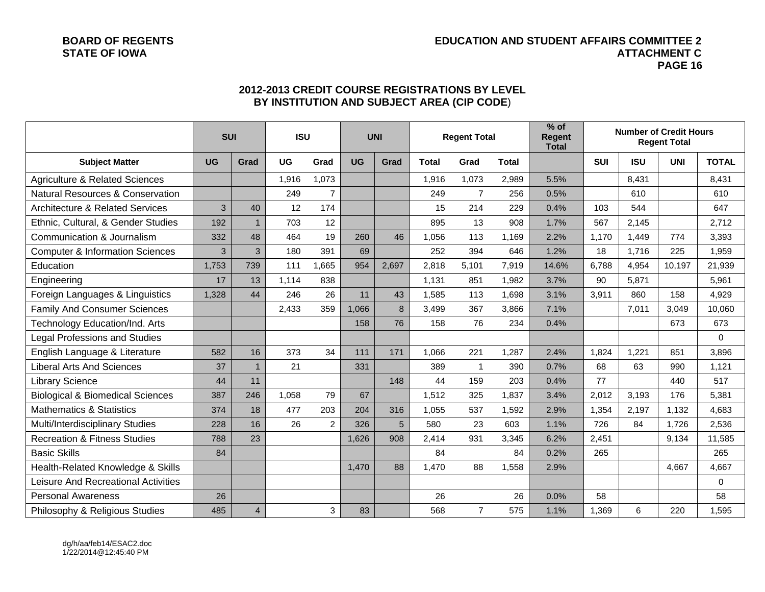#### **BOARD OF REGENTS EDUCATION AND STUDENT AFFAIRS COMMITTEE 2 STATE OF IOWA ATTACHMENT C PAGE 16**

|                                             | <b>SUI</b> |                | <b>ISU</b> |                |           | <b>UNI</b> | <b>Regent Total</b> |                |              |       |            |            |            |              |  |  |  |  | $%$ of<br><b>Regent</b><br><b>Total</b> |  |  | <b>Number of Credit Hours</b><br><b>Regent Total</b> |  |
|---------------------------------------------|------------|----------------|------------|----------------|-----------|------------|---------------------|----------------|--------------|-------|------------|------------|------------|--------------|--|--|--|--|-----------------------------------------|--|--|------------------------------------------------------|--|
| <b>Subject Matter</b>                       | <b>UG</b>  | Grad           | <b>UG</b>  | Grad           | <b>UG</b> | Grad       | <b>Total</b>        | Grad           | <b>Total</b> |       | <b>SUI</b> | <b>ISU</b> | <b>UNI</b> | <b>TOTAL</b> |  |  |  |  |                                         |  |  |                                                      |  |
| <b>Agriculture &amp; Related Sciences</b>   |            |                | 1,916      | 1,073          |           |            | 1,916               | 1,073          | 2,989        | 5.5%  |            | 8,431      |            | 8,431        |  |  |  |  |                                         |  |  |                                                      |  |
| <b>Natural Resources &amp; Conservation</b> |            |                | 249        | $\overline{7}$ |           |            | 249                 | $\overline{7}$ | 256          | 0.5%  |            | 610        |            | 610          |  |  |  |  |                                         |  |  |                                                      |  |
| <b>Architecture &amp; Related Services</b>  | 3          | 40             | 12         | 174            |           |            | 15                  | 214            | 229          | 0.4%  | 103        | 544        |            | 647          |  |  |  |  |                                         |  |  |                                                      |  |
| Ethnic, Cultural, & Gender Studies          | 192        | $\mathbf{1}$   | 703        | 12             |           |            | 895                 | 13             | 908          | 1.7%  | 567        | 2,145      |            | 2,712        |  |  |  |  |                                         |  |  |                                                      |  |
| Communication & Journalism                  | 332        | 48             | 464        | 19             | 260       | 46         | 1,056               | 113            | 1,169        | 2.2%  | 1,170      | 1,449      | 774        | 3,393        |  |  |  |  |                                         |  |  |                                                      |  |
| <b>Computer &amp; Information Sciences</b>  | 3          | 3              | 180        | 391            | 69        |            | 252                 | 394            | 646          | 1.2%  | 18         | 1,716      | 225        | 1,959        |  |  |  |  |                                         |  |  |                                                      |  |
| Education                                   | 1,753      | 739            | 111        | 1,665          | 954       | 2,697      | 2,818               | 5,101          | 7,919        | 14.6% | 6,788      | 4,954      | 10,197     | 21,939       |  |  |  |  |                                         |  |  |                                                      |  |
| Engineering                                 | 17         | 13             | 1,114      | 838            |           |            | 1.131               | 851            | 1,982        | 3.7%  | 90         | 5,871      |            | 5,961        |  |  |  |  |                                         |  |  |                                                      |  |
| Foreign Languages & Linguistics             | 1,328      | 44             | 246        | 26             | 11        | 43         | 1,585               | 113            | 1,698        | 3.1%  | 3,911      | 860        | 158        | 4,929        |  |  |  |  |                                         |  |  |                                                      |  |
| <b>Family And Consumer Sciences</b>         |            |                | 2,433      | 359            | 1,066     | 8          | 3,499               | 367            | 3,866        | 7.1%  |            | 7,011      | 3,049      | 10,060       |  |  |  |  |                                         |  |  |                                                      |  |
| Technology Education/Ind. Arts              |            |                |            |                | 158       | 76         | 158                 | 76             | 234          | 0.4%  |            |            | 673        | 673          |  |  |  |  |                                         |  |  |                                                      |  |
| <b>Legal Professions and Studies</b>        |            |                |            |                |           |            |                     |                |              |       |            |            |            | $\Omega$     |  |  |  |  |                                         |  |  |                                                      |  |
| English Language & Literature               | 582        | 16             | 373        | 34             | 111       | 171        | 1,066               | 221            | 1,287        | 2.4%  | 1,824      | 1,221      | 851        | 3,896        |  |  |  |  |                                         |  |  |                                                      |  |
| <b>Liberal Arts And Sciences</b>            | 37         | $\overline{1}$ | 21         |                | 331       |            | 389                 | $\overline{1}$ | 390          | 0.7%  | 68         | 63         | 990        | 1,121        |  |  |  |  |                                         |  |  |                                                      |  |
| <b>Library Science</b>                      | 44         | 11             |            |                |           | 148        | 44                  | 159            | 203          | 0.4%  | 77         |            | 440        | 517          |  |  |  |  |                                         |  |  |                                                      |  |
| <b>Biological &amp; Biomedical Sciences</b> | 387        | 246            | 1,058      | 79             | 67        |            | 1,512               | 325            | 1,837        | 3.4%  | 2,012      | 3,193      | 176        | 5,381        |  |  |  |  |                                         |  |  |                                                      |  |
| <b>Mathematics &amp; Statistics</b>         | 374        | 18             | 477        | 203            | 204       | 316        | 1,055               | 537            | 1,592        | 2.9%  | 1,354      | 2,197      | 1,132      | 4,683        |  |  |  |  |                                         |  |  |                                                      |  |
| Multi/Interdisciplinary Studies             | 228        | 16             | 26         | $\overline{2}$ | 326       | 5          | 580                 | 23             | 603          | 1.1%  | 726        | 84         | 1,726      | 2,536        |  |  |  |  |                                         |  |  |                                                      |  |
| <b>Recreation &amp; Fitness Studies</b>     | 788        | 23             |            |                | 1,626     | 908        | 2,414               | 931            | 3,345        | 6.2%  | 2,451      |            | 9,134      | 11,585       |  |  |  |  |                                         |  |  |                                                      |  |
| <b>Basic Skills</b>                         | 84         |                |            |                |           |            | 84                  |                | 84           | 0.2%  | 265        |            |            | 265          |  |  |  |  |                                         |  |  |                                                      |  |
| Health-Related Knowledge & Skills           |            |                |            |                | 1,470     | 88         | 1,470               | 88             | 1,558        | 2.9%  |            |            | 4,667      | 4,667        |  |  |  |  |                                         |  |  |                                                      |  |
| Leisure And Recreational Activities         |            |                |            |                |           |            |                     |                |              |       |            |            |            | $\pmb{0}$    |  |  |  |  |                                         |  |  |                                                      |  |
| <b>Personal Awareness</b>                   | 26         |                |            |                |           |            | 26                  |                | 26           | 0.0%  | 58         |            |            | 58           |  |  |  |  |                                         |  |  |                                                      |  |
| Philosophy & Religious Studies              | 485        | $\overline{4}$ |            | 3              | 83        |            | 568                 | $\overline{7}$ | 575          | 1.1%  | 1,369      | 6          | 220        | 1,595        |  |  |  |  |                                         |  |  |                                                      |  |

# **2012-2013 CREDIT COURSE REGISTRATIONS BY LEVEL BY INSTITUTION AND SUBJECT AREA (CIP CODE**)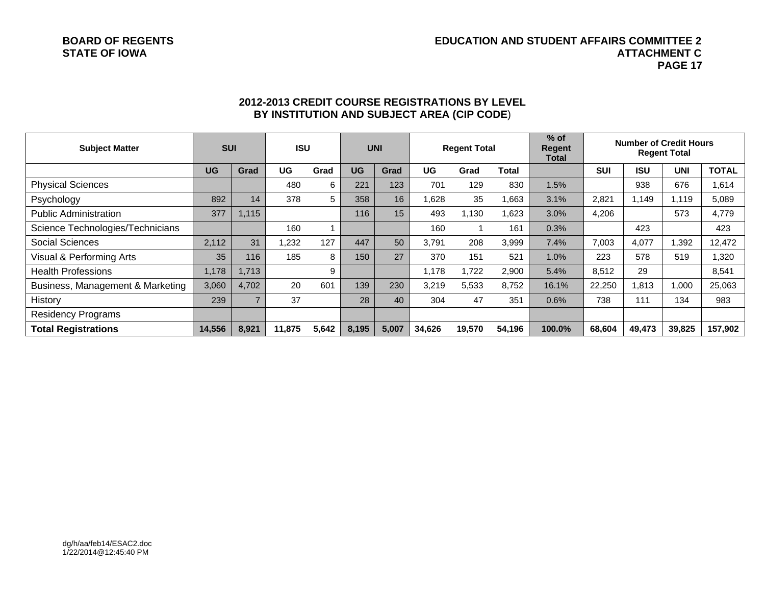#### **BOARD OF REGENTS EDUCATION AND STUDENT AFFAIRS COMMITTEE 2 STATE OF IOWA ATTACHMENT C PAGE 17**

| <b>Subject Matter</b>            | <b>SUI</b> |                | <b>ISU</b> |       |           | <b>UNI</b> | <b>Regent Total</b> |        |        |        |            |            |            |              |  |  |  |  |  |  |  |  |  |  |  |  |  |  |  | <b>Number of Credit Hours</b> | <b>Regent Total</b> |  |
|----------------------------------|------------|----------------|------------|-------|-----------|------------|---------------------|--------|--------|--------|------------|------------|------------|--------------|--|--|--|--|--|--|--|--|--|--|--|--|--|--|--|-------------------------------|---------------------|--|
|                                  | <b>UG</b>  | Grad           | UG         | Grad  | <b>UG</b> | Grad       | UG                  | Grad   | Total  |        | <b>SUI</b> | <b>ISU</b> | <b>UNI</b> | <b>TOTAL</b> |  |  |  |  |  |  |  |  |  |  |  |  |  |  |  |                               |                     |  |
| <b>Physical Sciences</b>         |            |                | 480        | 6     | 221       | 123        | 701                 | 129    | 830    | 1.5%   |            | 938        | 676        | 1,614        |  |  |  |  |  |  |  |  |  |  |  |  |  |  |  |                               |                     |  |
| Psychology                       | 892        | 14             | 378        | 5     | 358       | 16         | 1,628               | 35     | .663   | 3.1%   | 2,821      | 1,149      | 1.119      | 5,089        |  |  |  |  |  |  |  |  |  |  |  |  |  |  |  |                               |                     |  |
| <b>Public Administration</b>     | 377        | 1,115          |            |       | 116       | 15         | 493                 | 1,130  | .623   | 3.0%   | 4,206      |            | 573        | 4,779        |  |  |  |  |  |  |  |  |  |  |  |  |  |  |  |                               |                     |  |
| Science Technologies/Technicians |            |                | 160        |       |           |            | 160                 |        | 161    | 0.3%   |            | 423        |            | 423          |  |  |  |  |  |  |  |  |  |  |  |  |  |  |  |                               |                     |  |
| <b>Social Sciences</b>           | 2,112      | 31             | 1,232      | 127   | 447       | 50         | 3.791               | 208    | 3,999  | 7.4%   | 7,003      | 4,077      | 1,392      | 12,472       |  |  |  |  |  |  |  |  |  |  |  |  |  |  |  |                               |                     |  |
| Visual & Performing Arts         | 35         | 116            | 185        | 8     | 150       | 27         | 370                 | 151    | 521    | 1.0%   | 223        | 578        | 519        | 1,320        |  |  |  |  |  |  |  |  |  |  |  |  |  |  |  |                               |                     |  |
| <b>Health Professions</b>        | 1,178      | 1,713          |            | 9     |           |            | 1.178               | 1.722  | 2,900  | 5.4%   | 8,512      | 29         |            | 8,541        |  |  |  |  |  |  |  |  |  |  |  |  |  |  |  |                               |                     |  |
| Business, Management & Marketing | 3,060      | 4,702          | 20         | 601   | 139       | 230        | 3,219               | 5,533  | 8,752  | 16.1%  | 22,250     | 813.       | 1.000      | 25,063       |  |  |  |  |  |  |  |  |  |  |  |  |  |  |  |                               |                     |  |
| History                          | 239        | $\overline{ }$ | 37         |       | 28        | 40         | 304                 | 47     | 351    | 0.6%   | 738        | 111        | 134        | 983          |  |  |  |  |  |  |  |  |  |  |  |  |  |  |  |                               |                     |  |
| <b>Residency Programs</b>        |            |                |            |       |           |            |                     |        |        |        |            |            |            |              |  |  |  |  |  |  |  |  |  |  |  |  |  |  |  |                               |                     |  |
| <b>Total Registrations</b>       | 14,556     | 8,921          | 11.875     | 5,642 | 8,195     | 5,007      | 34.626              | 19,570 | 54,196 | 100.0% | 68,604     | 49,473     | 39,825     | 157,902      |  |  |  |  |  |  |  |  |  |  |  |  |  |  |  |                               |                     |  |

# **2012-2013 CREDIT COURSE REGISTRATIONS BY LEVEL BY INSTITUTION AND SUBJECT AREA (CIP CODE**)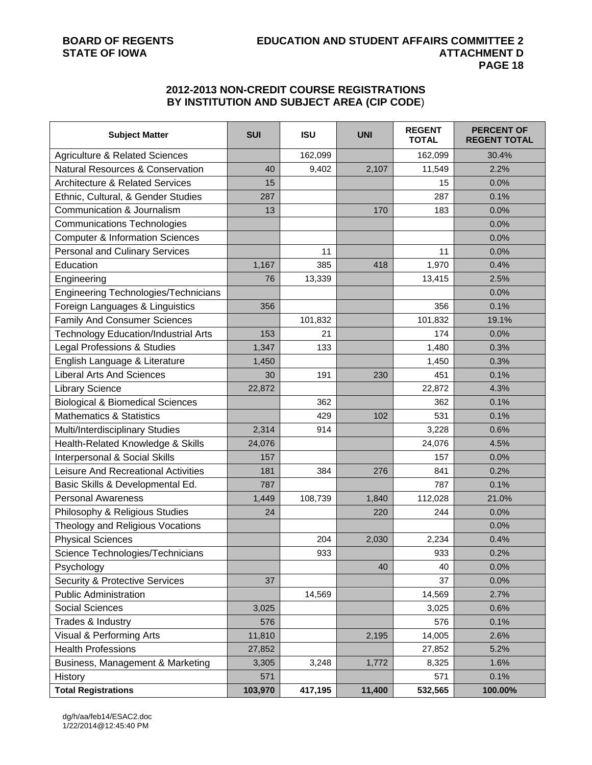# **2012-2013 NON-CREDIT COURSE REGISTRATIONS BY INSTITUTION AND SUBJECT AREA (CIP CODE**)

| <b>Subject Matter</b>                       | <b>SUI</b> | <b>ISU</b> | <b>UNI</b> | <b>REGENT</b><br><b>TOTAL</b> | <b>PERCENT OF</b><br><b>REGENT TOTAL</b> |
|---------------------------------------------|------------|------------|------------|-------------------------------|------------------------------------------|
| <b>Agriculture &amp; Related Sciences</b>   |            | 162,099    |            | 162,099                       | 30.4%                                    |
| <b>Natural Resources &amp; Conservation</b> | 40         | 9,402      | 2,107      | 11,549                        | 2.2%                                     |
| <b>Architecture &amp; Related Services</b>  | 15         |            |            | 15                            | 0.0%                                     |
| Ethnic, Cultural, & Gender Studies          | 287        |            |            | 287                           | 0.1%                                     |
| Communication & Journalism                  | 13         |            | 170        | 183                           | 0.0%                                     |
| <b>Communications Technologies</b>          |            |            |            |                               | 0.0%                                     |
| <b>Computer &amp; Information Sciences</b>  |            |            |            |                               | 0.0%                                     |
| <b>Personal and Culinary Services</b>       |            | 11         |            | 11                            | 0.0%                                     |
| Education                                   | 1,167      | 385        | 418        | 1,970                         | 0.4%                                     |
| Engineering                                 | 76         | 13,339     |            | 13,415                        | 2.5%                                     |
| Engineering Technologies/Technicians        |            |            |            |                               | 0.0%                                     |
| Foreign Languages & Linguistics             | 356        |            |            | 356                           | 0.1%                                     |
| <b>Family And Consumer Sciences</b>         |            | 101,832    |            | 101,832                       | 19.1%                                    |
| <b>Technology Education/Industrial Arts</b> | 153        | 21         |            | 174                           | 0.0%                                     |
| Legal Professions & Studies                 | 1,347      | 133        |            | 1,480                         | 0.3%                                     |
| English Language & Literature               | 1,450      |            |            | 1,450                         | 0.3%                                     |
| <b>Liberal Arts And Sciences</b>            | 30         | 191        | 230        | 451                           | 0.1%                                     |
| <b>Library Science</b>                      | 22,872     |            |            | 22,872                        | 4.3%                                     |
| <b>Biological &amp; Biomedical Sciences</b> |            | 362        |            | 362                           | 0.1%                                     |
| <b>Mathematics &amp; Statistics</b>         |            | 429        | 102        | 531                           | 0.1%                                     |
| Multi/Interdisciplinary Studies             | 2,314      | 914        |            | 3,228                         | 0.6%                                     |
| Health-Related Knowledge & Skills           | 24,076     |            |            | 24,076                        | 4.5%                                     |
| Interpersonal & Social Skills               | 157        |            |            | 157                           | 0.0%                                     |
| Leisure And Recreational Activities         | 181        | 384        | 276        | 841                           | 0.2%                                     |
| Basic Skills & Developmental Ed.            | 787        |            |            | 787                           | 0.1%                                     |
| <b>Personal Awareness</b>                   | 1,449      | 108,739    | 1,840      | 112,028                       | 21.0%                                    |
| Philosophy & Religious Studies              | 24         |            | 220        | 244                           | 0.0%                                     |
| Theology and Religious Vocations            |            |            |            |                               | 0.0%                                     |
| <b>Physical Sciences</b>                    |            | 204        | 2,030      | 2,234                         | 0.4%                                     |
| Science Technologies/Technicians            |            | 933        |            | 933                           | 0.2%                                     |
| Psychology                                  |            |            | 40         | 40                            | 0.0%                                     |
| <b>Security &amp; Protective Services</b>   | 37         |            |            | 37                            | 0.0%                                     |
| <b>Public Administration</b>                |            | 14,569     |            | 14,569                        | 2.7%                                     |
| <b>Social Sciences</b>                      | 3,025      |            |            | 3,025                         | 0.6%                                     |
| Trades & Industry                           | 576        |            |            | 576                           | 0.1%                                     |
| Visual & Performing Arts                    | 11,810     |            | 2,195      | 14,005                        | 2.6%                                     |
| <b>Health Professions</b>                   | 27,852     |            |            | 27,852                        | 5.2%                                     |
| Business, Management & Marketing            | 3,305      | 3,248      | 1,772      | 8,325                         | 1.6%                                     |
| History                                     | 571        |            |            | 571                           | 0.1%                                     |
| <b>Total Registrations</b>                  | 103,970    | 417,195    | 11,400     | 532,565                       | 100.00%                                  |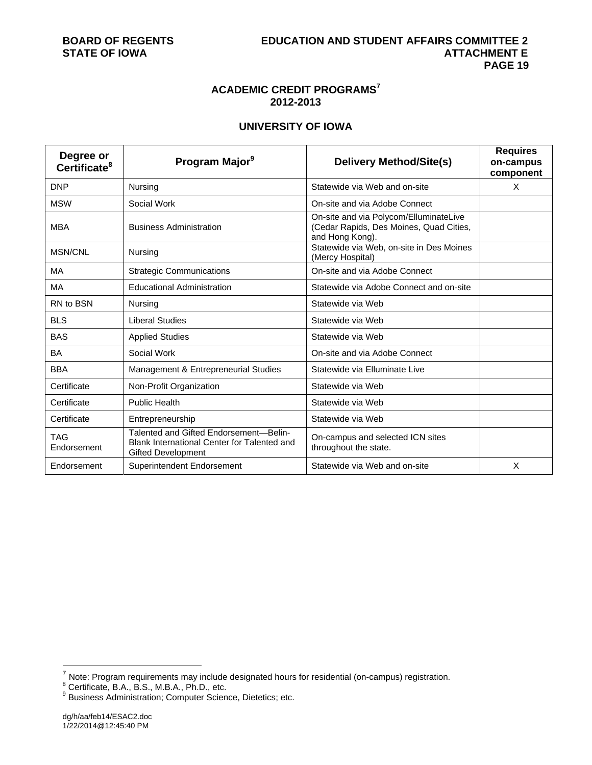# **ACADEMIC CREDIT PROGRAMS<sup>7</sup> 2012-2013**

# **UNIVERSITY OF IOWA**

| Degree or<br>Certificate <sup>8</sup> | Program Major <sup>9</sup>                                                                                         | <b>Delivery Method/Site(s)</b>                                                                       | <b>Requires</b><br>on-campus<br>component |
|---------------------------------------|--------------------------------------------------------------------------------------------------------------------|------------------------------------------------------------------------------------------------------|-------------------------------------------|
| <b>DNP</b>                            | Nursing                                                                                                            | Statewide via Web and on-site                                                                        | X                                         |
| <b>MSW</b>                            | Social Work                                                                                                        | On-site and via Adobe Connect                                                                        |                                           |
| <b>MBA</b>                            | <b>Business Administration</b>                                                                                     | On-site and via Polycom/ElluminateLive<br>(Cedar Rapids, Des Moines, Quad Cities,<br>and Hong Kong). |                                           |
| <b>MSN/CNL</b>                        | Nursing                                                                                                            | Statewide via Web, on-site in Des Moines<br>(Mercy Hospital)                                         |                                           |
| МA                                    | <b>Strategic Communications</b>                                                                                    | On-site and via Adobe Connect                                                                        |                                           |
| MA                                    | <b>Educational Administration</b>                                                                                  | Statewide via Adobe Connect and on-site                                                              |                                           |
| RN to BSN                             | Nursing                                                                                                            | Statewide via Web                                                                                    |                                           |
| <b>BLS</b>                            | <b>Liberal Studies</b>                                                                                             | Statewide via Web                                                                                    |                                           |
| <b>BAS</b>                            | <b>Applied Studies</b>                                                                                             | Statewide via Web                                                                                    |                                           |
| BA                                    | Social Work                                                                                                        | On-site and via Adobe Connect                                                                        |                                           |
| <b>BBA</b>                            | Management & Entrepreneurial Studies                                                                               | Statewide via Elluminate Live                                                                        |                                           |
| Certificate                           | Non-Profit Organization                                                                                            | Statewide via Web                                                                                    |                                           |
| Certificate                           | <b>Public Health</b>                                                                                               | Statewide via Web                                                                                    |                                           |
| Certificate                           | Entrepreneurship                                                                                                   | Statewide via Web                                                                                    |                                           |
| <b>TAG</b><br>Endorsement             | Talented and Gifted Endorsement-Belin-<br>Blank International Center for Talented and<br><b>Gifted Development</b> | On-campus and selected ICN sites<br>throughout the state.                                            |                                           |
| Endorsement                           | Superintendent Endorsement                                                                                         | Statewide via Web and on-site                                                                        | X                                         |

l

<sup>&</sup>lt;sup>7</sup> Note: Program requirements may include designated hours for residential (on-campus) registration.<br><sup>8</sup> Certificate, B.A., B.S., M.B.A., Ph.D., etc.<br><sup>9</sup> Business Administration; Computer Science, Dietetics; etc.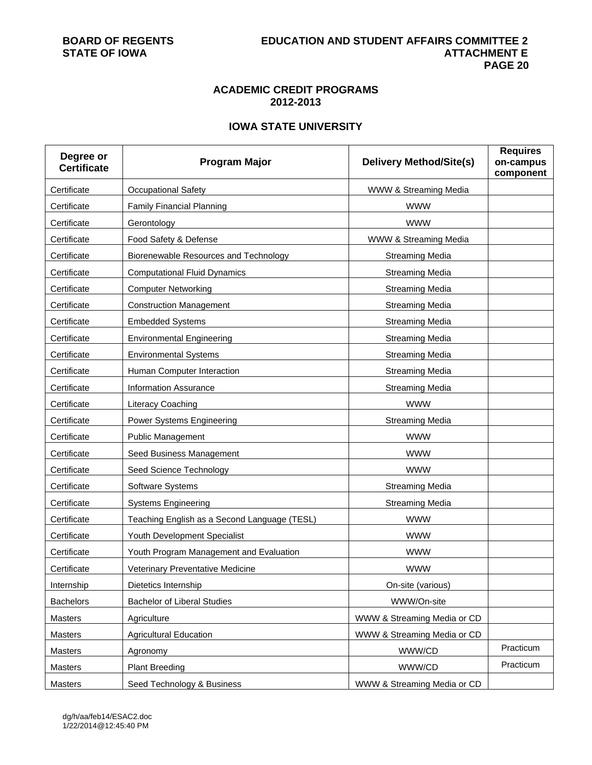# **ACADEMIC CREDIT PROGRAMS 2012-2013**

# **IOWA STATE UNIVERSITY**

| Degree or<br><b>Certificate</b> | <b>Program Major</b>                         | <b>Delivery Method/Site(s)</b> | <b>Requires</b><br>on-campus<br>component |
|---------------------------------|----------------------------------------------|--------------------------------|-------------------------------------------|
| Certificate                     | Occupational Safety                          | WWW & Streaming Media          |                                           |
| Certificate                     | <b>Family Financial Planning</b>             | <b>WWW</b>                     |                                           |
| Certificate                     | Gerontology                                  | <b>WWW</b>                     |                                           |
| Certificate                     | Food Safety & Defense                        | WWW & Streaming Media          |                                           |
| Certificate                     | Biorenewable Resources and Technology        | <b>Streaming Media</b>         |                                           |
| Certificate                     | <b>Computational Fluid Dynamics</b>          | <b>Streaming Media</b>         |                                           |
| Certificate                     | <b>Computer Networking</b>                   | <b>Streaming Media</b>         |                                           |
| Certificate                     | <b>Construction Management</b>               | <b>Streaming Media</b>         |                                           |
| Certificate                     | <b>Embedded Systems</b>                      | <b>Streaming Media</b>         |                                           |
| Certificate                     | <b>Environmental Engineering</b>             | <b>Streaming Media</b>         |                                           |
| Certificate                     | <b>Environmental Systems</b>                 | <b>Streaming Media</b>         |                                           |
| Certificate                     | Human Computer Interaction                   | <b>Streaming Media</b>         |                                           |
| Certificate                     | <b>Information Assurance</b>                 | <b>Streaming Media</b>         |                                           |
| Certificate                     | Literacy Coaching                            | <b>WWW</b>                     |                                           |
| Certificate                     | Power Systems Engineering                    | <b>Streaming Media</b>         |                                           |
| Certificate                     | <b>Public Management</b>                     | <b>WWW</b>                     |                                           |
| Certificate                     | Seed Business Management                     | <b>WWW</b>                     |                                           |
| Certificate                     | Seed Science Technology                      | <b>WWW</b>                     |                                           |
| Certificate                     | Software Systems                             | <b>Streaming Media</b>         |                                           |
| Certificate                     | <b>Systems Engineering</b>                   | <b>Streaming Media</b>         |                                           |
| Certificate                     | Teaching English as a Second Language (TESL) | <b>WWW</b>                     |                                           |
| Certificate                     | Youth Development Specialist                 | <b>WWW</b>                     |                                           |
| Certificate                     | Youth Program Management and Evaluation      | <b>WWW</b>                     |                                           |
| Certificate                     | Veterinary Preventative Medicine             | <b>WWW</b>                     |                                           |
| Internship                      | Dietetics Internship                         | On-site (various)              |                                           |
| <b>Bachelors</b>                | <b>Bachelor of Liberal Studies</b>           | WWW/On-site                    |                                           |
| Masters                         | Agriculture                                  | WWW & Streaming Media or CD    |                                           |
| Masters                         | <b>Agricultural Education</b>                | WWW & Streaming Media or CD    |                                           |
| Masters                         | Agronomy                                     | WWW/CD                         | Practicum                                 |
| Masters                         | <b>Plant Breeding</b>                        | WWW/CD                         | Practicum                                 |
| Masters                         | Seed Technology & Business                   | WWW & Streaming Media or CD    |                                           |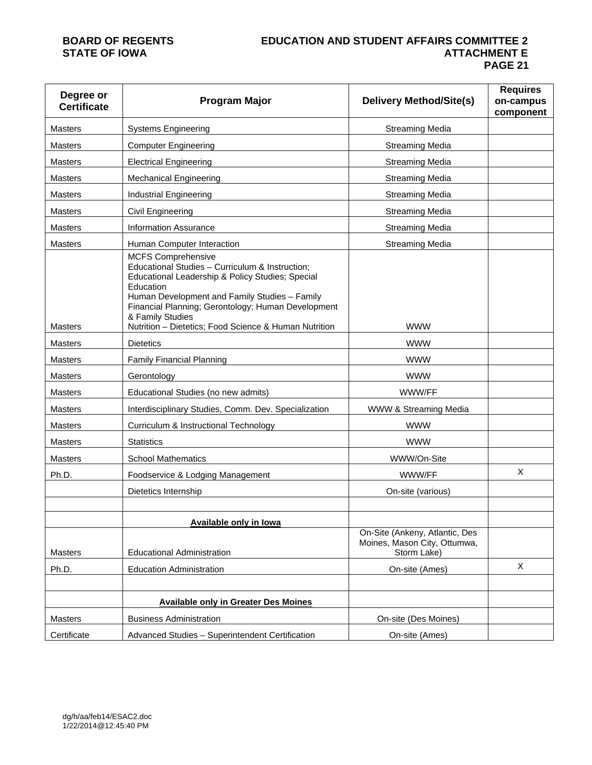### **BOARD OF REGENTS EDUCATION AND STUDENT AFFAIRS COMMITTEE 2 ATTACHMENT E PAGE 21**

| Degree or<br><b>Certificate</b> | <b>Program Major</b>                                                                                                                                                                                                                                                                                                              | <b>Delivery Method/Site(s)</b>                                                | <b>Requires</b><br>on-campus<br>component |
|---------------------------------|-----------------------------------------------------------------------------------------------------------------------------------------------------------------------------------------------------------------------------------------------------------------------------------------------------------------------------------|-------------------------------------------------------------------------------|-------------------------------------------|
| Masters                         | <b>Systems Engineering</b>                                                                                                                                                                                                                                                                                                        | <b>Streaming Media</b>                                                        |                                           |
| Masters                         | <b>Computer Engineering</b>                                                                                                                                                                                                                                                                                                       | <b>Streaming Media</b>                                                        |                                           |
| <b>Masters</b>                  | <b>Electrical Engineering</b>                                                                                                                                                                                                                                                                                                     | <b>Streaming Media</b>                                                        |                                           |
| <b>Masters</b>                  | <b>Mechanical Engineering</b>                                                                                                                                                                                                                                                                                                     | <b>Streaming Media</b>                                                        |                                           |
| <b>Masters</b>                  | Industrial Engineering                                                                                                                                                                                                                                                                                                            | <b>Streaming Media</b>                                                        |                                           |
| <b>Masters</b>                  | Civil Engineering                                                                                                                                                                                                                                                                                                                 | <b>Streaming Media</b>                                                        |                                           |
| Masters                         | <b>Information Assurance</b>                                                                                                                                                                                                                                                                                                      | <b>Streaming Media</b>                                                        |                                           |
| <b>Masters</b>                  | Human Computer Interaction                                                                                                                                                                                                                                                                                                        | <b>Streaming Media</b>                                                        |                                           |
| Masters                         | <b>MCFS Comprehensive</b><br>Educational Studies - Curriculum & Instruction;<br>Educational Leadership & Policy Studies; Special<br>Education<br>Human Development and Family Studies - Family<br>Financial Planning; Gerontology; Human Development<br>& Family Studies<br>Nutrition - Dietetics; Food Science & Human Nutrition | <b>WWW</b>                                                                    |                                           |
| Masters                         | <b>Dietetics</b>                                                                                                                                                                                                                                                                                                                  | <b>WWW</b>                                                                    |                                           |
| <b>Masters</b>                  | <b>Family Financial Planning</b>                                                                                                                                                                                                                                                                                                  | <b>WWW</b>                                                                    |                                           |
| Masters                         | Gerontology                                                                                                                                                                                                                                                                                                                       | <b>WWW</b>                                                                    |                                           |
| Masters                         | Educational Studies (no new admits)                                                                                                                                                                                                                                                                                               | WWW/FF                                                                        |                                           |
| <b>Masters</b>                  | Interdisciplinary Studies, Comm. Dev. Specialization                                                                                                                                                                                                                                                                              | WWW & Streaming Media                                                         |                                           |
| Masters                         | Curriculum & Instructional Technology                                                                                                                                                                                                                                                                                             | <b>WWW</b>                                                                    |                                           |
| <b>Masters</b>                  | <b>Statistics</b>                                                                                                                                                                                                                                                                                                                 | <b>WWW</b>                                                                    |                                           |
| Masters                         | <b>School Mathematics</b>                                                                                                                                                                                                                                                                                                         | WWW/On-Site                                                                   |                                           |
| Ph.D.                           | Foodservice & Lodging Management                                                                                                                                                                                                                                                                                                  | WWW/FF                                                                        | X                                         |
|                                 | Dietetics Internship                                                                                                                                                                                                                                                                                                              | On-site (various)                                                             |                                           |
|                                 |                                                                                                                                                                                                                                                                                                                                   |                                                                               |                                           |
| Masters                         | <b>Available only in lowa</b><br><b>Educational Administration</b>                                                                                                                                                                                                                                                                | On-Site (Ankeny, Atlantic, Des<br>Moines, Mason City, Ottumwa,<br>Storm Lake) |                                           |
| Ph.D.                           | <b>Education Administration</b>                                                                                                                                                                                                                                                                                                   | On-site (Ames)                                                                | X                                         |
|                                 |                                                                                                                                                                                                                                                                                                                                   |                                                                               |                                           |
|                                 | <b>Available only in Greater Des Moines</b>                                                                                                                                                                                                                                                                                       |                                                                               |                                           |
| <b>Masters</b>                  | <b>Business Administration</b>                                                                                                                                                                                                                                                                                                    | On-site (Des Moines)                                                          |                                           |
| Certificate                     | Advanced Studies - Superintendent Certification                                                                                                                                                                                                                                                                                   | On-site (Ames)                                                                |                                           |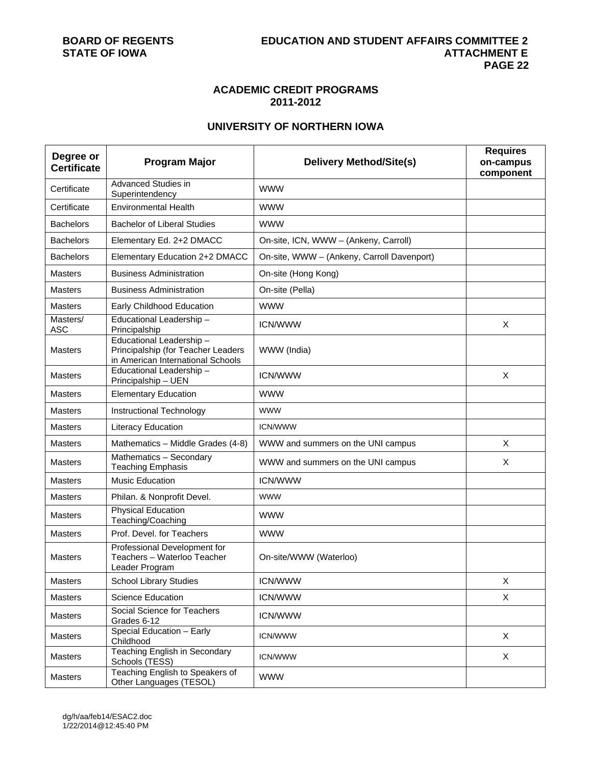# **ACADEMIC CREDIT PROGRAMS 2011-2012**

# **UNIVERSITY OF NORTHERN IOWA**

| Degree or<br><b>Certificate</b> | <b>Program Major</b>                                                                               | <b>Delivery Method/Site(s)</b>             | <b>Requires</b><br>on-campus<br>component |
|---------------------------------|----------------------------------------------------------------------------------------------------|--------------------------------------------|-------------------------------------------|
| Certificate                     | <b>Advanced Studies in</b><br>Superintendency                                                      | <b>WWW</b>                                 |                                           |
| Certificate                     | <b>Environmental Health</b>                                                                        | <b>WWW</b>                                 |                                           |
| <b>Bachelors</b>                | <b>Bachelor of Liberal Studies</b>                                                                 | <b>WWW</b>                                 |                                           |
| <b>Bachelors</b>                | Elementary Ed. 2+2 DMACC                                                                           | On-site, ICN, WWW - (Ankeny, Carroll)      |                                           |
| <b>Bachelors</b>                | Elementary Education 2+2 DMACC                                                                     | On-site, WWW - (Ankeny, Carroll Davenport) |                                           |
| <b>Masters</b>                  | <b>Business Administration</b>                                                                     | On-site (Hong Kong)                        |                                           |
| <b>Masters</b>                  | <b>Business Administration</b>                                                                     | On-site (Pella)                            |                                           |
| <b>Masters</b>                  | Early Childhood Education                                                                          | <b>WWW</b>                                 |                                           |
| Masters/<br><b>ASC</b>          | Educational Leadership-<br>Principalship                                                           | <b>ICN/WWW</b>                             | X                                         |
| Masters                         | Educational Leadership-<br>Principalship (for Teacher Leaders<br>in American International Schools | WWW (India)                                |                                           |
| <b>Masters</b>                  | Educational Leadership-<br>Principalship - UEN                                                     | <b>ICN/WWW</b>                             | X                                         |
| <b>Masters</b>                  | <b>Elementary Education</b>                                                                        | <b>WWW</b>                                 |                                           |
| <b>Masters</b>                  | Instructional Technology                                                                           | <b>WWW</b>                                 |                                           |
| <b>Masters</b>                  | Literacy Education                                                                                 | <b>ICN/WWW</b>                             |                                           |
| <b>Masters</b>                  | Mathematics - Middle Grades (4-8)                                                                  | WWW and summers on the UNI campus          | X                                         |
| <b>Masters</b>                  | Mathematics - Secondary<br><b>Teaching Emphasis</b>                                                | WWW and summers on the UNI campus          | X                                         |
| <b>Masters</b>                  | <b>Music Education</b>                                                                             | <b>ICN/WWW</b>                             |                                           |
| <b>Masters</b>                  | Philan. & Nonprofit Devel.                                                                         | <b>WWW</b>                                 |                                           |
| <b>Masters</b>                  | <b>Physical Education</b><br>Teaching/Coaching                                                     | <b>WWW</b>                                 |                                           |
| <b>Masters</b>                  | Prof. Devel. for Teachers                                                                          | <b>WWW</b>                                 |                                           |
| Masters                         | Professional Development for<br>Teachers - Waterloo Teacher<br>Leader Program                      | On-site/WWW (Waterloo)                     |                                           |
| Masters                         | <b>School Library Studies</b>                                                                      | <b>ICN/WWW</b>                             | X                                         |
| Masters                         | Science Education                                                                                  | <b>ICN/WWW</b>                             | $\mathsf{X}$                              |
| Masters                         | Social Science for Teachers<br>Grades 6-12                                                         | <b>ICN/WWW</b>                             |                                           |
| Masters                         | Special Education - Early<br>Childhood                                                             | <b>ICN/WWW</b>                             | X                                         |
| Masters                         | <b>Teaching English in Secondary</b><br>Schools (TESS)                                             | <b>ICN/WWW</b>                             | X                                         |
| Masters                         | Teaching English to Speakers of<br>Other Languages (TESOL)                                         | <b>WWW</b>                                 |                                           |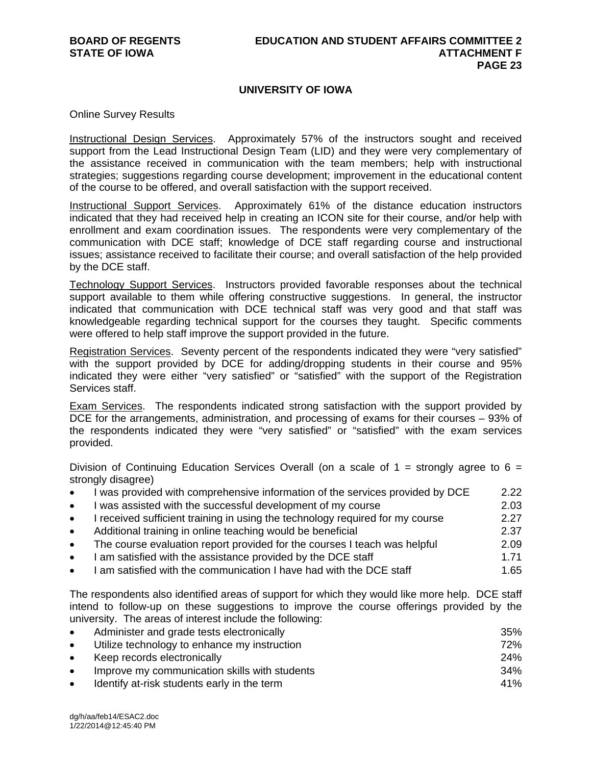# **UNIVERSITY OF IOWA**

Online Survey Results

Instructional Design Services. Approximately 57% of the instructors sought and received support from the Lead Instructional Design Team (LID) and they were very complementary of the assistance received in communication with the team members; help with instructional strategies; suggestions regarding course development; improvement in the educational content of the course to be offered, and overall satisfaction with the support received.

Instructional Support Services. Approximately 61% of the distance education instructors indicated that they had received help in creating an ICON site for their course, and/or help with enrollment and exam coordination issues. The respondents were very complementary of the communication with DCE staff; knowledge of DCE staff regarding course and instructional issues; assistance received to facilitate their course; and overall satisfaction of the help provided by the DCE staff.

Technology Support Services. Instructors provided favorable responses about the technical support available to them while offering constructive suggestions. In general, the instructor indicated that communication with DCE technical staff was very good and that staff was knowledgeable regarding technical support for the courses they taught. Specific comments were offered to help staff improve the support provided in the future.

Registration Services. Seventy percent of the respondents indicated they were "very satisfied" with the support provided by DCE for adding/dropping students in their course and 95% indicated they were either "very satisfied" or "satisfied" with the support of the Registration Services staff.

Exam Services. The respondents indicated strong satisfaction with the support provided by DCE for the arrangements, administration, and processing of exams for their courses – 93% of the respondents indicated they were "very satisfied" or "satisfied" with the exam services provided.

Division of Continuing Education Services Overall (on a scale of  $1 =$  strongly agree to  $6 =$ strongly disagree)

- I was provided with comprehensive information of the services provided by DCE 2.22
- I was assisted with the successful development of my course **2003** 2.03
- I received sufficient training in using the technology required for my course 2.27 Additional training in online teaching would be beneficial 2.37
- The course evaluation report provided for the courses I teach was helpful 2.09
- I am satisfied with the assistance provided by the DCE staff 1.71
- I am satisfied with the communication I have had with the DCE staff 1.65

The respondents also identified areas of support for which they would like more help. DCE staff intend to follow-up on these suggestions to improve the course offerings provided by the university. The areas of interest include the following:

|           | Administer and grade tests electronically     | 35% |
|-----------|-----------------------------------------------|-----|
|           | Utilize technology to enhance my instruction  | 72% |
|           | Keep records electronically                   | 24% |
| $\bullet$ | Improve my communication skills with students | 34% |
|           | Identify at-risk students early in the term   | 41% |
|           |                                               |     |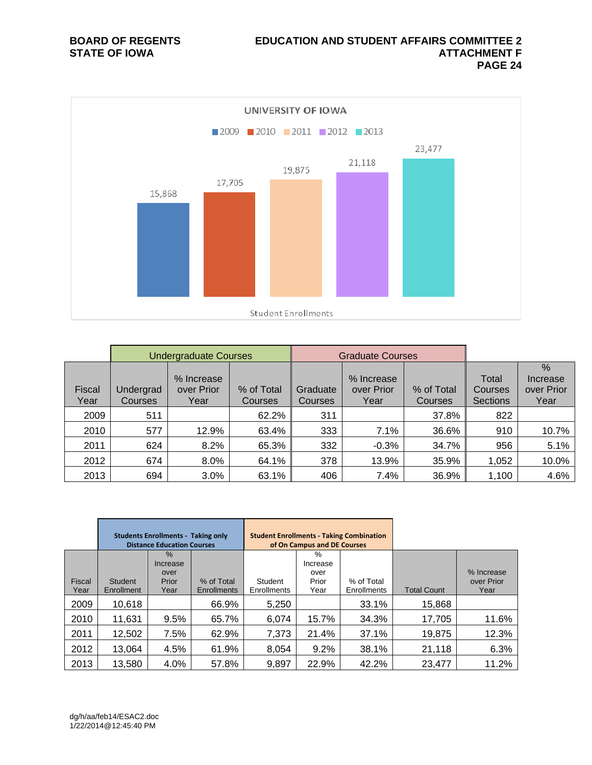

|                       |                      | <b>Undergraduate Courses</b>     |                       |                     | <b>Graduate Courses</b>          |                       |                                     |                                        |
|-----------------------|----------------------|----------------------------------|-----------------------|---------------------|----------------------------------|-----------------------|-------------------------------------|----------------------------------------|
| <b>Fiscal</b><br>Year | Undergrad<br>Courses | % Increase<br>over Prior<br>Year | % of Total<br>Courses | Graduate<br>Courses | % Increase<br>over Prior<br>Year | % of Total<br>Courses | Total<br>Courses<br><b>Sections</b> | $\%$<br>Increase<br>over Prior<br>Year |
| 2009                  | 511                  |                                  | 62.2%                 | 311                 |                                  | 37.8%                 | 822                                 |                                        |
| 2010                  | 577                  | 12.9%                            | 63.4%                 | 333                 | 7.1%                             | 36.6%                 | 910                                 | 10.7%                                  |
| 2011                  | 624                  | 8.2%                             | 65.3%                 | 332                 | $-0.3%$                          | 34.7%                 | 956                                 | 5.1%                                   |
| 2012                  | 674                  | 8.0%                             | 64.1%                 | 378                 | 13.9%                            | 35.9%                 | 1,052                               | 10.0%                                  |
| 2013                  | 694                  | 3.0%                             | 63.1%                 | 406                 | 7.4%                             | 36.9%                 | 1,100                               | 4.6%                                   |

|                | <b>Students Enrollments - Taking only</b><br><b>Distance Education Courses</b> |                                           |                                  | <b>Student Enrollments - Taking Combination</b> | of On Campus and DE Courses            |                           |                    |                                  |
|----------------|--------------------------------------------------------------------------------|-------------------------------------------|----------------------------------|-------------------------------------------------|----------------------------------------|---------------------------|--------------------|----------------------------------|
| Fiscal<br>Year | Student<br>Enrollment                                                          | $\%$<br>Increase<br>over<br>Prior<br>Year | % of Total<br><b>Enrollments</b> | Student<br>Enrollments                          | %<br>Increase<br>over<br>Prior<br>Year | % of Total<br>Enrollments | <b>Total Count</b> | % Increase<br>over Prior<br>Year |
| 2009           | 10,618                                                                         |                                           | 66.9%                            | 5,250                                           |                                        | 33.1%                     | 15,868             |                                  |
| 2010           | 11,631                                                                         | 9.5%                                      | 65.7%                            | 6,074                                           | 15.7%                                  | 34.3%                     | 17,705             | 11.6%                            |
| 2011           | 12,502                                                                         | 7.5%                                      | 62.9%                            | 7,373                                           | 21.4%                                  | 37.1%                     | 19,875             | 12.3%                            |
| 2012           | 13,064                                                                         | 4.5%                                      | 61.9%                            | 8,054                                           | 9.2%                                   | 38.1%                     | 21,118             | 6.3%                             |
| 2013           | 13,580                                                                         | 4.0%                                      | 57.8%                            | 9,897                                           | 22.9%                                  | 42.2%                     | 23,477             | 11.2%                            |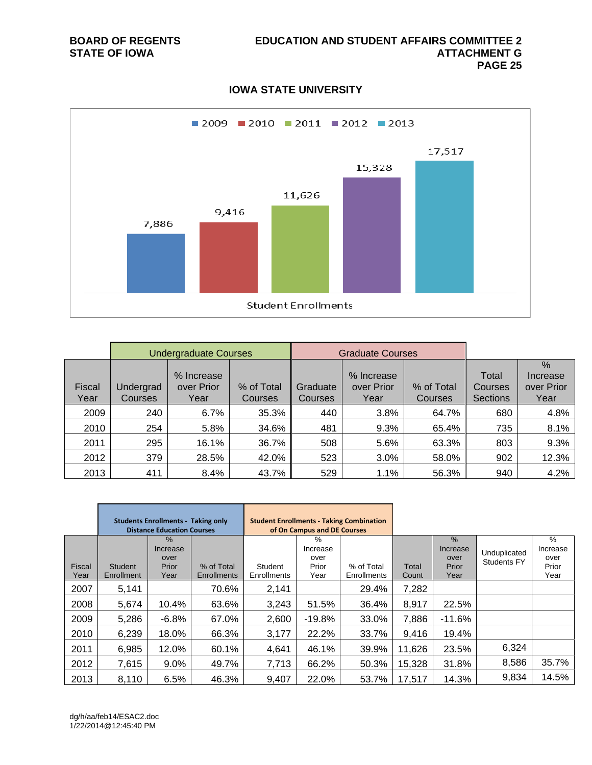# **IOWA STATE UNIVERSITY**



|                       |                      | <b>Undergraduate Courses</b>     |                       |                     | <b>Graduate Courses</b>          |                       |                                     |                                        |
|-----------------------|----------------------|----------------------------------|-----------------------|---------------------|----------------------------------|-----------------------|-------------------------------------|----------------------------------------|
| <b>Fiscal</b><br>Year | Undergrad<br>Courses | % Increase<br>over Prior<br>Year | % of Total<br>Courses | Graduate<br>Courses | % Increase<br>over Prior<br>Year | % of Total<br>Courses | Total<br>Courses<br><b>Sections</b> | $\%$<br>Increase<br>over Prior<br>Year |
| 2009                  | 240                  | 6.7%                             | 35.3%                 | 440                 | 3.8%                             | 64.7%                 | 680                                 | 4.8%                                   |
| 2010                  | 254                  | 5.8%                             | 34.6%                 | 481                 | 9.3%                             | 65.4%                 | 735                                 | 8.1%                                   |
| 2011                  | 295                  | 16.1%                            | 36.7%                 | 508                 | 5.6%                             | 63.3%                 | 803                                 | 9.3%                                   |
| 2012                  | 379                  | 28.5%                            | 42.0%                 | 523                 | 3.0%                             | 58.0%                 | 902                                 | 12.3%                                  |
| 2013                  | 411                  | 8.4%                             | 43.7%                 | 529                 | 1.1%                             | 56.3%                 | 940                                 | 4.2%                                   |

|                | <b>Students Enrollments - Taking only</b><br><b>Distance Education Courses</b> |                                        |                                  | <b>Student Enrollments - Taking Combination</b><br>of On Campus and DE Courses |                                        |                           |                |                                           |                                    |                                        |
|----------------|--------------------------------------------------------------------------------|----------------------------------------|----------------------------------|--------------------------------------------------------------------------------|----------------------------------------|---------------------------|----------------|-------------------------------------------|------------------------------------|----------------------------------------|
| Fiscal<br>Year | <b>Student</b><br>Enrollment                                                   | %<br>Increase<br>over<br>Prior<br>Year | % of Total<br><b>Enrollments</b> | Student<br><b>Enrollments</b>                                                  | %<br>Increase<br>over<br>Prior<br>Year | % of Total<br>Enrollments | Total<br>Count | $\%$<br>Increase<br>over<br>Prior<br>Year | Unduplicated<br><b>Students FY</b> | %<br>Increase<br>over<br>Prior<br>Year |
| 2007           | 5,141                                                                          |                                        | 70.6%                            | 2,141                                                                          |                                        | 29.4%                     | 7,282          |                                           |                                    |                                        |
| 2008           | 5,674                                                                          | 10.4%                                  | 63.6%                            | 3,243                                                                          | 51.5%                                  | 36.4%                     | 8,917          | 22.5%                                     |                                    |                                        |
| 2009           | 5,286                                                                          | $-6.8%$                                | 67.0%                            | 2,600                                                                          | $-19.8%$                               | 33.0%                     | 7,886          | $-11.6%$                                  |                                    |                                        |
| 2010           | 6,239                                                                          | 18.0%                                  | 66.3%                            | 3,177                                                                          | 22.2%                                  | 33.7%                     | 9,416          | 19.4%                                     |                                    |                                        |
| 2011           | 6,985                                                                          | 12.0%                                  | 60.1%                            | 4,641                                                                          | 46.1%                                  | 39.9%                     | 11,626         | 23.5%                                     | 6,324                              |                                        |
| 2012           | 7,615                                                                          | $9.0\%$                                | 49.7%                            | 7,713                                                                          | 66.2%                                  | 50.3%                     | 15,328         | 31.8%                                     | 8,586                              | 35.7%                                  |
| 2013           | 8,110                                                                          | 6.5%                                   | 46.3%                            | 9,407                                                                          | 22.0%                                  | 53.7%                     | 17,517         | 14.3%                                     | 9,834                              | 14.5%                                  |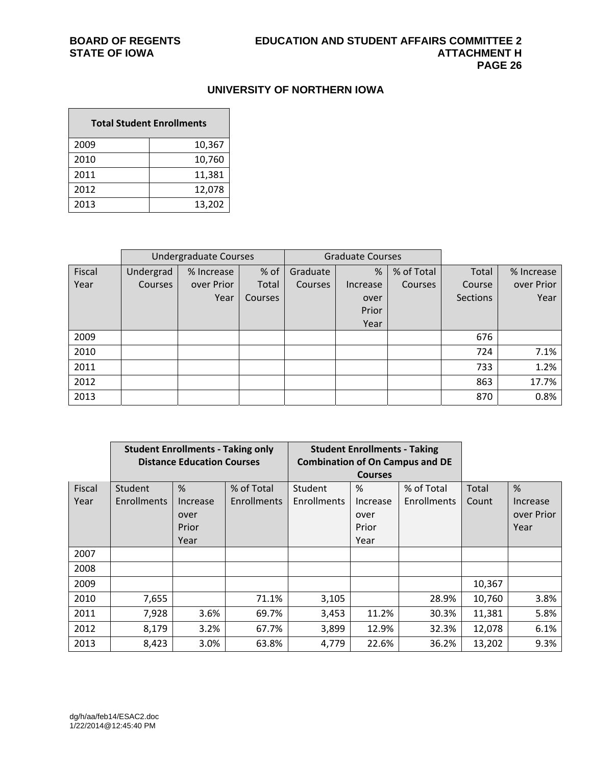# **UNIVERSITY OF NORTHERN IOWA**

÷,

| <b>Total Student Enrollments</b> |        |  |  |  |  |  |  |  |
|----------------------------------|--------|--|--|--|--|--|--|--|
| 2009                             | 10,367 |  |  |  |  |  |  |  |
| 2010                             | 10,760 |  |  |  |  |  |  |  |
| 2011                             | 11,381 |  |  |  |  |  |  |  |
| 2012                             | 12,078 |  |  |  |  |  |  |  |
| 2013                             | 13,202 |  |  |  |  |  |  |  |

|        |                | <b>Undergraduate Courses</b> |         | <b>Graduate Courses</b> |          |            |                 |            |
|--------|----------------|------------------------------|---------|-------------------------|----------|------------|-----------------|------------|
| Fiscal | Undergrad      | % Increase                   | % of    | Graduate                | %        | % of Total | Total           | % Increase |
| Year   | <b>Courses</b> | over Prior                   | Total   | Courses                 | Increase | Courses    | Course          | over Prior |
|        |                | Year                         | Courses |                         | over     |            | <b>Sections</b> | Year       |
|        |                |                              |         |                         | Prior    |            |                 |            |
|        |                |                              |         |                         | Year     |            |                 |            |
| 2009   |                |                              |         |                         |          |            | 676             |            |
| 2010   |                |                              |         |                         |          |            | 724             | 7.1%       |
| 2011   |                |                              |         |                         |          |            | 733             | 1.2%       |
| 2012   |                |                              |         |                         |          |            | 863             | 17.7%      |
| 2013   |                |                              |         |                         |          |            | 870             | 0.8%       |

|        | <b>Student Enrollments - Taking only</b> |                                   |                    |             | <b>Student Enrollments - Taking</b> |                                        |        |            |
|--------|------------------------------------------|-----------------------------------|--------------------|-------------|-------------------------------------|----------------------------------------|--------|------------|
|        |                                          | <b>Distance Education Courses</b> |                    |             |                                     | <b>Combination of On Campus and DE</b> |        |            |
|        |                                          |                                   |                    |             | <b>Courses</b>                      |                                        |        |            |
| Fiscal | Student                                  | %                                 | % of Total         | Student     | %                                   | % of Total                             | Total  | %          |
| Year   | <b>Enrollments</b>                       | Increase                          | <b>Enrollments</b> | Enrollments | Increase                            | Enrollments                            | Count  | Increase   |
|        |                                          | over                              |                    |             | over                                |                                        |        | over Prior |
|        |                                          | Prior                             |                    |             | Prior                               |                                        |        | Year       |
|        |                                          | Year                              |                    |             | Year                                |                                        |        |            |
| 2007   |                                          |                                   |                    |             |                                     |                                        |        |            |
| 2008   |                                          |                                   |                    |             |                                     |                                        |        |            |
| 2009   |                                          |                                   |                    |             |                                     |                                        | 10,367 |            |
| 2010   | 7,655                                    |                                   | 71.1%              | 3,105       |                                     | 28.9%                                  | 10,760 | 3.8%       |
| 2011   | 7,928                                    | 3.6%                              | 69.7%              | 3,453       | 11.2%                               | 30.3%                                  | 11,381 | 5.8%       |
| 2012   | 8,179                                    | 3.2%                              | 67.7%              | 3,899       | 12.9%                               | 32.3%                                  | 12,078 | 6.1%       |
| 2013   | 8,423                                    | 3.0%                              | 63.8%              | 4,779       | 22.6%                               | 36.2%                                  | 13,202 | 9.3%       |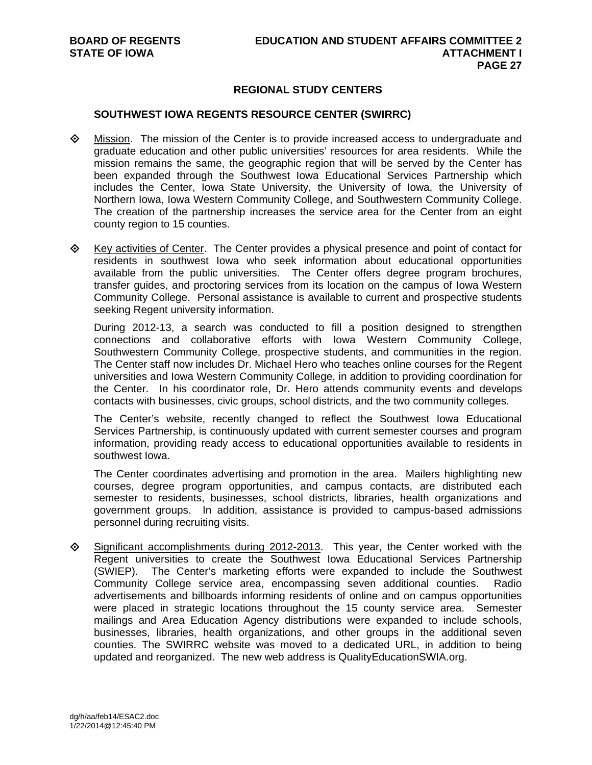# **REGIONAL STUDY CENTERS**

#### **SOUTHWEST IOWA REGENTS RESOURCE CENTER (SWIRRC)**

- Mission. The mission of the Center is to provide increased access to undergraduate and graduate education and other public universities' resources for area residents. While the mission remains the same, the geographic region that will be served by the Center has been expanded through the Southwest Iowa Educational Services Partnership which includes the Center, Iowa State University, the University of Iowa, the University of Northern Iowa, Iowa Western Community College, and Southwestern Community College. The creation of the partnership increases the service area for the Center from an eight county region to 15 counties.
- $\Diamond$  Key activities of Center. The Center provides a physical presence and point of contact for residents in southwest Iowa who seek information about educational opportunities available from the public universities. The Center offers degree program brochures, transfer guides, and proctoring services from its location on the campus of Iowa Western Community College. Personal assistance is available to current and prospective students seeking Regent university information.

During 2012-13, a search was conducted to fill a position designed to strengthen connections and collaborative efforts with Iowa Western Community College, Southwestern Community College, prospective students, and communities in the region. The Center staff now includes Dr. Michael Hero who teaches online courses for the Regent universities and Iowa Western Community College, in addition to providing coordination for the Center. In his coordinator role, Dr. Hero attends community events and develops contacts with businesses, civic groups, school districts, and the two community colleges.

The Center's website, recently changed to reflect the Southwest Iowa Educational Services Partnership, is continuously updated with current semester courses and program information, providing ready access to educational opportunities available to residents in southwest Iowa.

The Center coordinates advertising and promotion in the area. Mailers highlighting new courses, degree program opportunities, and campus contacts, are distributed each semester to residents, businesses, school districts, libraries, health organizations and government groups. In addition, assistance is provided to campus-based admissions personnel during recruiting visits.

 $\Diamond$  Significant accomplishments during 2012-2013. This year, the Center worked with the Regent universities to create the Southwest Iowa Educational Services Partnership (SWIEP). The Center's marketing efforts were expanded to include the Southwest Community College service area, encompassing seven additional counties. Radio advertisements and billboards informing residents of online and on campus opportunities were placed in strategic locations throughout the 15 county service area. Semester mailings and Area Education Agency distributions were expanded to include schools, businesses, libraries, health organizations, and other groups in the additional seven counties. The SWIRRC website was moved to a dedicated URL, in addition to being updated and reorganized. The new web address is QualityEducationSWIA.org.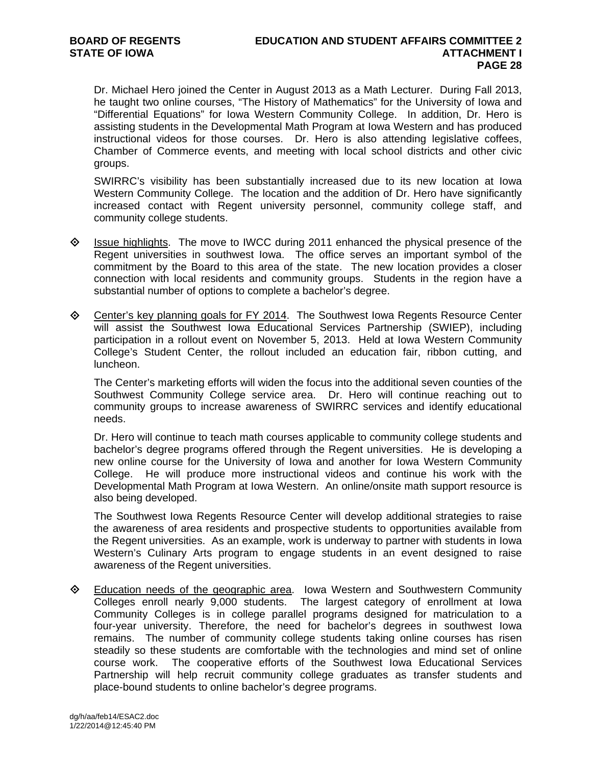Dr. Michael Hero joined the Center in August 2013 as a Math Lecturer. During Fall 2013, he taught two online courses, "The History of Mathematics" for the University of Iowa and "Differential Equations" for Iowa Western Community College. In addition, Dr. Hero is assisting students in the Developmental Math Program at Iowa Western and has produced instructional videos for those courses. Dr. Hero is also attending legislative coffees, Chamber of Commerce events, and meeting with local school districts and other civic groups.

SWIRRC's visibility has been substantially increased due to its new location at Iowa Western Community College. The location and the addition of Dr. Hero have significantly increased contact with Regent university personnel, community college staff, and community college students.

- $\Diamond$  Issue highlights. The move to IWCC during 2011 enhanced the physical presence of the Regent universities in southwest Iowa. The office serves an important symbol of the commitment by the Board to this area of the state. The new location provides a closer connection with local residents and community groups. Students in the region have a substantial number of options to complete a bachelor's degree.
- Center's key planning goals for FY 2014. The Southwest Iowa Regents Resource Center will assist the Southwest Iowa Educational Services Partnership (SWIEP), including participation in a rollout event on November 5, 2013. Held at Iowa Western Community College's Student Center, the rollout included an education fair, ribbon cutting, and luncheon.

The Center's marketing efforts will widen the focus into the additional seven counties of the Southwest Community College service area. Dr. Hero will continue reaching out to community groups to increase awareness of SWIRRC services and identify educational needs.

Dr. Hero will continue to teach math courses applicable to community college students and bachelor's degree programs offered through the Regent universities. He is developing a new online course for the University of Iowa and another for Iowa Western Community College. He will produce more instructional videos and continue his work with the Developmental Math Program at Iowa Western. An online/onsite math support resource is also being developed.

The Southwest Iowa Regents Resource Center will develop additional strategies to raise the awareness of area residents and prospective students to opportunities available from the Regent universities. As an example, work is underway to partner with students in Iowa Western's Culinary Arts program to engage students in an event designed to raise awareness of the Regent universities.

**Education needs of the geographic area.** Iowa Western and Southwestern Community Colleges enroll nearly 9,000 students. The largest category of enrollment at Iowa Community Colleges is in college parallel programs designed for matriculation to a four-year university. Therefore, the need for bachelor's degrees in southwest Iowa remains. The number of community college students taking online courses has risen steadily so these students are comfortable with the technologies and mind set of online course work. The cooperative efforts of the Southwest Iowa Educational Services Partnership will help recruit community college graduates as transfer students and place-bound students to online bachelor's degree programs.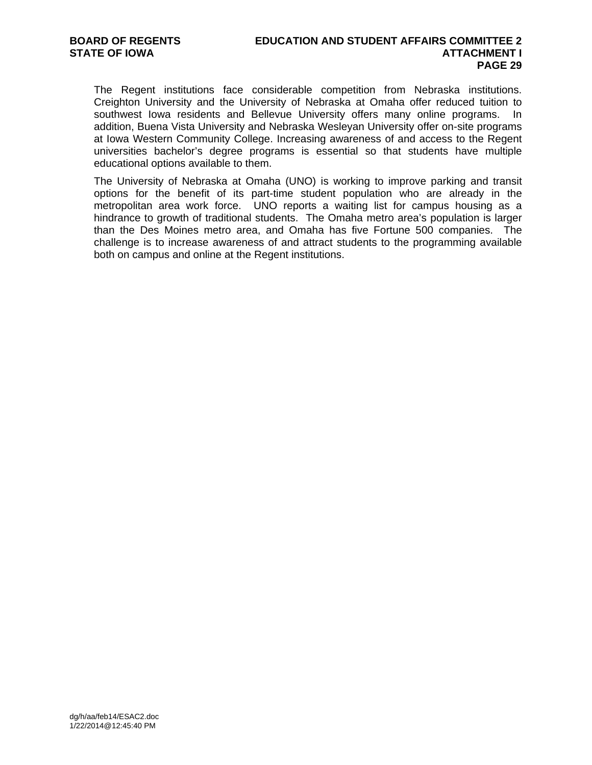The Regent institutions face considerable competition from Nebraska institutions. Creighton University and the University of Nebraska at Omaha offer reduced tuition to southwest Iowa residents and Bellevue University offers many online programs. In addition, Buena Vista University and Nebraska Wesleyan University offer on-site programs at Iowa Western Community College. Increasing awareness of and access to the Regent universities bachelor's degree programs is essential so that students have multiple educational options available to them.

The University of Nebraska at Omaha (UNO) is working to improve parking and transit options for the benefit of its part-time student population who are already in the metropolitan area work force. UNO reports a waiting list for campus housing as a hindrance to growth of traditional students. The Omaha metro area's population is larger than the Des Moines metro area, and Omaha has five Fortune 500 companies. The challenge is to increase awareness of and attract students to the programming available both on campus and online at the Regent institutions.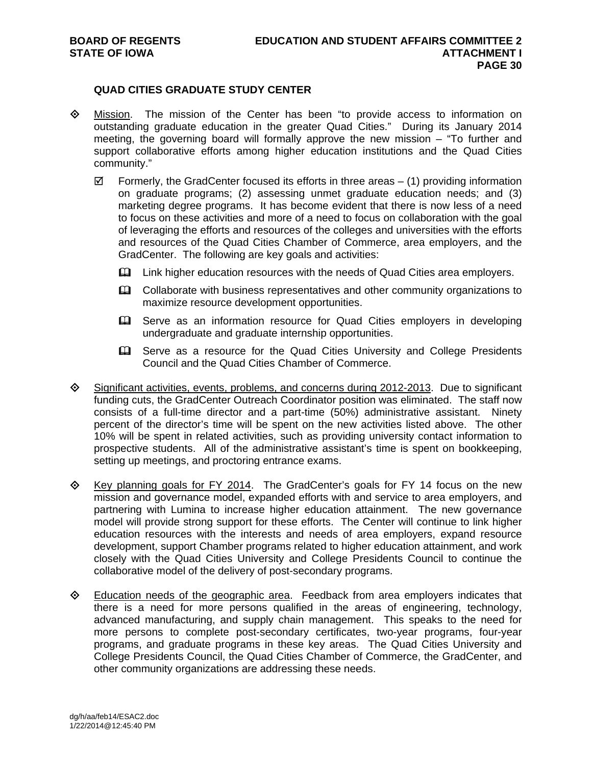# **QUAD CITIES GRADUATE STUDY CENTER**

- Mission. The mission of the Center has been "to provide access to information on outstanding graduate education in the greater Quad Cities." During its January 2014 meeting, the governing board will formally approve the new mission – "To further and support collaborative efforts among higher education institutions and the Quad Cities community."
	- $\boxtimes$  Formerly, the GradCenter focused its efforts in three areas (1) providing information on graduate programs; (2) assessing unmet graduate education needs; and (3) marketing degree programs. It has become evident that there is now less of a need to focus on these activities and more of a need to focus on collaboration with the goal of leveraging the efforts and resources of the colleges and universities with the efforts and resources of the Quad Cities Chamber of Commerce, area employers, and the GradCenter. The following are key goals and activities:
		- Link higher education resources with the needs of Quad Cities area employers.
		- **Example 20** Collaborate with business representatives and other community organizations to maximize resource development opportunities.
		- **E. Serve as an information resource for Quad Cities employers in developing** undergraduate and graduate internship opportunities.
		- **Eta** Serve as a resource for the Quad Cities University and College Presidents Council and the Quad Cities Chamber of Commerce.
- Significant activities, events, problems, and concerns during 2012-2013. Due to significant funding cuts, the GradCenter Outreach Coordinator position was eliminated. The staff now consists of a full-time director and a part-time (50%) administrative assistant. Ninety percent of the director's time will be spent on the new activities listed above. The other 10% will be spent in related activities, such as providing university contact information to prospective students. All of the administrative assistant's time is spent on bookkeeping, setting up meetings, and proctoring entrance exams.
- $\Diamond$  Key planning goals for FY 2014. The GradCenter's goals for FY 14 focus on the new mission and governance model, expanded efforts with and service to area employers, and partnering with Lumina to increase higher education attainment. The new governance model will provide strong support for these efforts. The Center will continue to link higher education resources with the interests and needs of area employers, expand resource development, support Chamber programs related to higher education attainment, and work closely with the Quad Cities University and College Presidents Council to continue the collaborative model of the delivery of post-secondary programs.
- $\diamond$  Education needs of the geographic area. Feedback from area employers indicates that there is a need for more persons qualified in the areas of engineering, technology, advanced manufacturing, and supply chain management. This speaks to the need for more persons to complete post-secondary certificates, two-year programs, four-year programs, and graduate programs in these key areas. The Quad Cities University and College Presidents Council, the Quad Cities Chamber of Commerce, the GradCenter, and other community organizations are addressing these needs.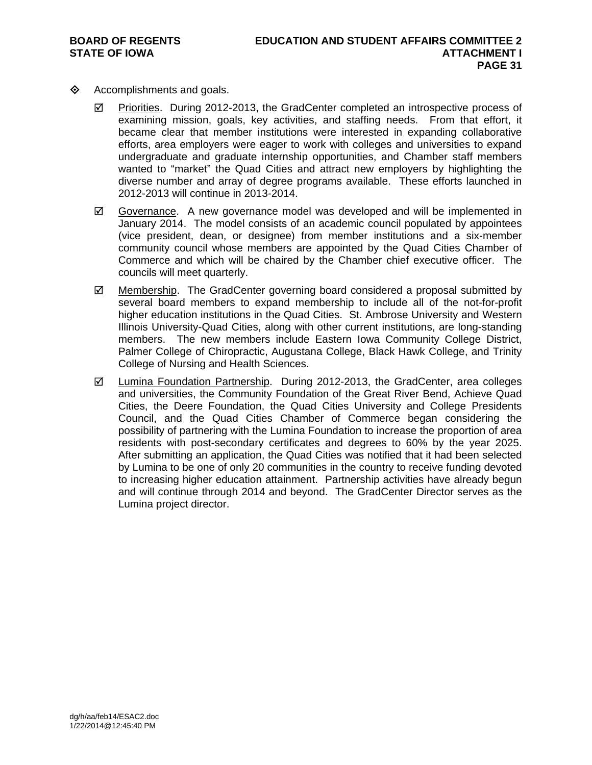- $\diamond$  Accomplishments and goals.
	- $\boxtimes$  Priorities. During 2012-2013, the GradCenter completed an introspective process of examining mission, goals, key activities, and staffing needs. From that effort, it became clear that member institutions were interested in expanding collaborative efforts, area employers were eager to work with colleges and universities to expand undergraduate and graduate internship opportunities, and Chamber staff members wanted to "market" the Quad Cities and attract new employers by highlighting the diverse number and array of degree programs available. These efforts launched in 2012-2013 will continue in 2013-2014.
	- $\boxtimes$  Governance. A new governance model was developed and will be implemented in January 2014. The model consists of an academic council populated by appointees (vice president, dean, or designee) from member institutions and a six-member community council whose members are appointed by the Quad Cities Chamber of Commerce and which will be chaired by the Chamber chief executive officer. The councils will meet quarterly.
	- $\boxtimes$  Membership. The GradCenter governing board considered a proposal submitted by several board members to expand membership to include all of the not-for-profit higher education institutions in the Quad Cities. St. Ambrose University and Western Illinois University-Quad Cities, along with other current institutions, are long-standing members. The new members include Eastern Iowa Community College District, Palmer College of Chiropractic, Augustana College, Black Hawk College, and Trinity College of Nursing and Health Sciences.
	- and universities, the Community Foundation of the Great River Bend, Achieve Quad Cities, the Deere Foundation, the Quad Cities University and College Presidents Council, and the Quad Cities Chamber of Commerce began considering the possibility of partnering with the Lumina Foundation to increase the proportion of area residents with post-secondary certificates and degrees to 60% by the year 2025. After submitting an application, the Quad Cities was notified that it had been selected by Lumina to be one of only 20 communities in the country to receive funding devoted to increasing higher education attainment. Partnership activities have already begun and will continue through 2014 and beyond. The GradCenter Director serves as the Lumina project director.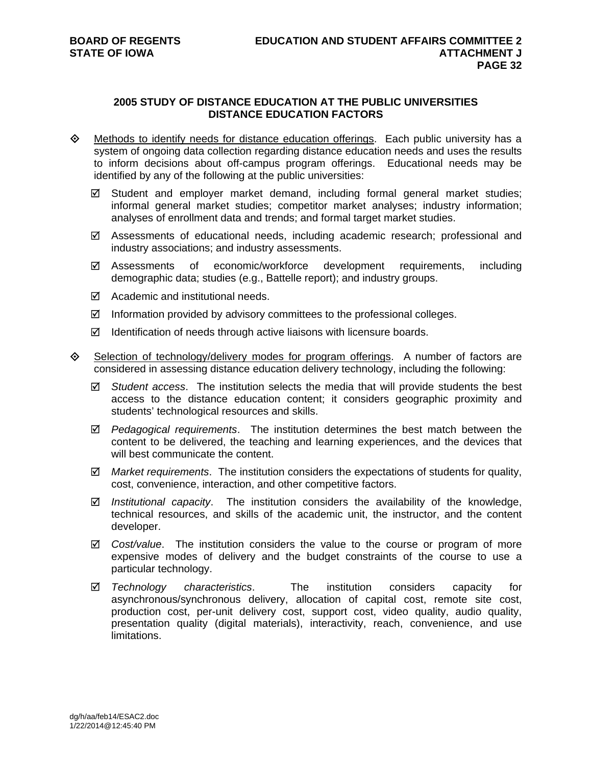# **2005 STUDY OF DISTANCE EDUCATION AT THE PUBLIC UNIVERSITIES DISTANCE EDUCATION FACTORS**

- $\Diamond$  Methods to identify needs for distance education offerings. Each public university has a system of ongoing data collection regarding distance education needs and uses the results to inform decisions about off-campus program offerings. Educational needs may be identified by any of the following at the public universities:
	- $\boxtimes$  Student and employer market demand, including formal general market studies; informal general market studies; competitor market analyses; industry information; analyses of enrollment data and trends; and formal target market studies.
	- $\boxtimes$  Assessments of educational needs, including academic research; professional and industry associations; and industry assessments.
	- Assessments of economic/workforce development requirements, including demographic data; studies (e.g., Battelle report); and industry groups.
	- Academic and institutional needs.
	- $\boxtimes$  Information provided by advisory committees to the professional colleges.
	- $\boxtimes$  Identification of needs through active liaisons with licensure boards.
- Selection of technology/delivery modes for program offerings. A number of factors are considered in assessing distance education delivery technology, including the following:
	- *Student access*. The institution selects the media that will provide students the best access to the distance education content; it considers geographic proximity and students' technological resources and skills.
	- *Pedagogical requirements*. The institution determines the best match between the content to be delivered, the teaching and learning experiences, and the devices that will best communicate the content.
	- *Market requirements*. The institution considers the expectations of students for quality, cost, convenience, interaction, and other competitive factors.
	- *Institutional capacity*. The institution considers the availability of the knowledge, technical resources, and skills of the academic unit, the instructor, and the content developer.
	- *Cost/value*. The institution considers the value to the course or program of more expensive modes of delivery and the budget constraints of the course to use a particular technology.
	- *Technology characteristics*. The institution considers capacity for asynchronous/synchronous delivery, allocation of capital cost, remote site cost, production cost, per-unit delivery cost, support cost, video quality, audio quality, presentation quality (digital materials), interactivity, reach, convenience, and use limitations.